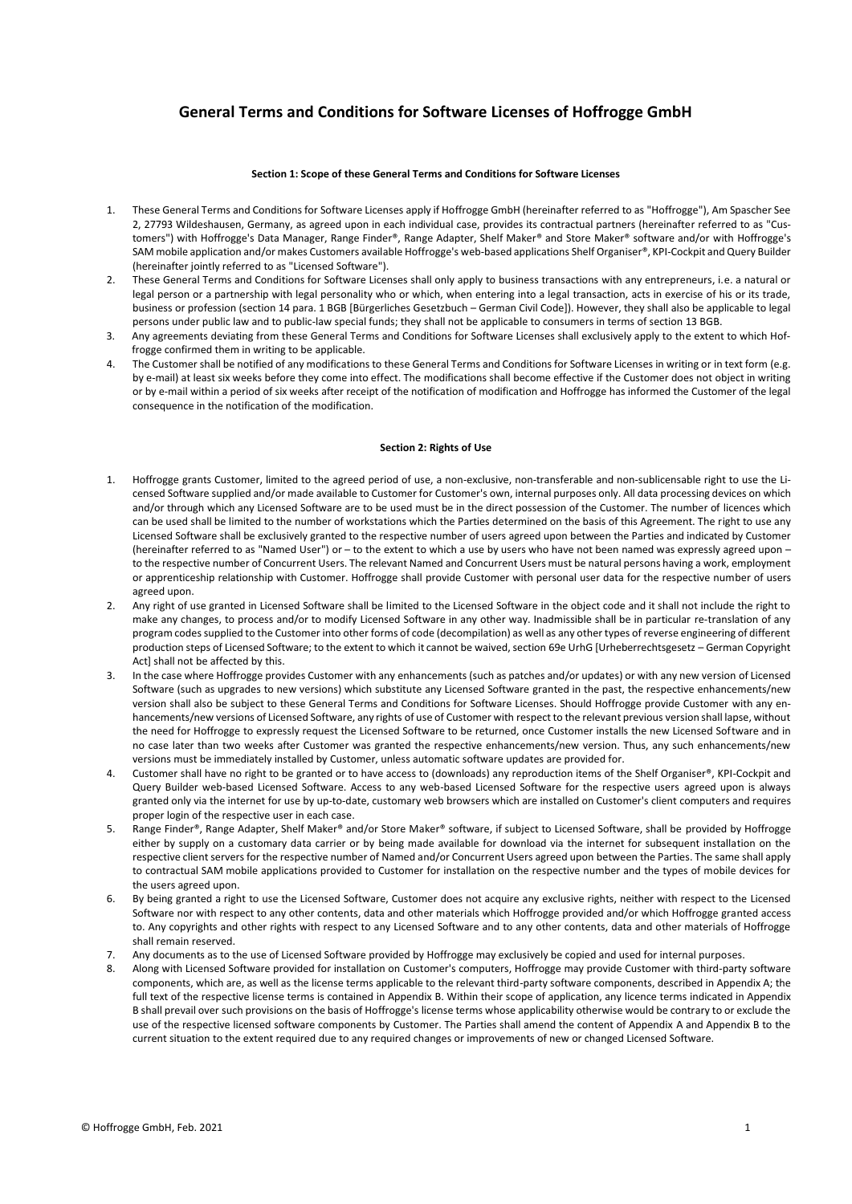# **General Terms and Conditions for Software Licenses of Hoffrogge GmbH**

#### **Section 1: Scope of these General Terms and Conditions for Software Licenses**

- 1. These General Terms and Conditions for Software Licenses apply if Hoffrogge GmbH (hereinafter referred to as "Hoffrogge"), Am Spascher See 2, 27793 Wildeshausen, Germany, as agreed upon in each individual case, provides its contractual partners (hereinafter referred to as "Customers") with Hoffrogge's Data Manager, Range Finder®, Range Adapter, Shelf Maker® and Store Maker® software and/or with Hoffrogge's SAM mobile application and/or makes Customers available Hoffrogge's web-based applications Shelf Organiser®, KPI-Cockpit and Query Builder (hereinafter jointly referred to as "Licensed Software").
- 2. These General Terms and Conditions for Software Licenses shall only apply to business transactions with any entrepreneurs, i.e. a natural or legal person or a partnership with legal personality who or which, when entering into a legal transaction, acts in exercise of his or its trade, business or profession (section 14 para. 1 BGB [Bürgerliches Gesetzbuch – German Civil Code]). However, they shall also be applicable to legal persons under public law and to public-law special funds; they shall not be applicable to consumers in terms of section 13 BGB.
- 3. Any agreements deviating from these General Terms and Conditions for Software Licenses shall exclusively apply to the extent to which Hoffrogge confirmed them in writing to be applicable.
- 4. The Customer shall be notified of any modifications to these General Terms and Conditions for Software Licenses in writing or in text form (e.g. by e-mail) at least six weeks before they come into effect. The modifications shall become effective if the Customer does not object in writing or by e-mail within a period of six weeks after receipt of the notification of modification and Hoffrogge has informed the Customer of the legal consequence in the notification of the modification.

#### **Section 2: Rights of Use**

- 1. Hoffrogge grants Customer, limited to the agreed period of use, a non-exclusive, non-transferable and non-sublicensable right to use the Licensed Software supplied and/or made available to Customer for Customer's own, internal purposes only. All data processing devices on which and/or through which any Licensed Software are to be used must be in the direct possession of the Customer. The number of licences which can be used shall be limited to the number of workstations which the Parties determined on the basis of this Agreement. The right to use any Licensed Software shall be exclusively granted to the respective number of users agreed upon between the Parties and indicated by Customer (hereinafter referred to as "Named User") or – to the extent to which a use by users who have not been named was expressly agreed upon – to the respective number of Concurrent Users. The relevant Named and Concurrent Users must be natural persons having a work, employment or apprenticeship relationship with Customer. Hoffrogge shall provide Customer with personal user data for the respective number of users agreed upon.
- 2. Any right of use granted in Licensed Software shall be limited to the Licensed Software in the object code and it shall not include the right to make any changes, to process and/or to modify Licensed Software in any other way. Inadmissible shall be in particular re-translation of any program codes supplied to the Customer into other forms of code (decompilation) as well as any other types of reverse engineering of different production steps of Licensed Software; to the extent to which it cannot be waived, section 69e UrhG [Urheberrechtsgesetz – German Copyright Act] shall not be affected by this.
- 3. In the case where Hoffrogge provides Customer with any enhancements (such as patches and/or updates) or with any new version of Licensed Software (such as upgrades to new versions) which substitute any Licensed Software granted in the past, the respective enhancements/new version shall also be subject to these General Terms and Conditions for Software Licenses. Should Hoffrogge provide Customer with any enhancements/new versions of Licensed Software, any rights of use of Customer with respect to the relevant previous version shall lapse, without the need for Hoffrogge to expressly request the Licensed Software to be returned, once Customer installs the new Licensed Software and in no case later than two weeks after Customer was granted the respective enhancements/new version. Thus, any such enhancements/new versions must be immediately installed by Customer, unless automatic software updates are provided for.
- 4. Customer shall have no right to be granted or to have access to (downloads) any reproduction items of the Shelf Organiser®, KPI-Cockpit and Query Builder web-based Licensed Software. Access to any web-based Licensed Software for the respective users agreed upon is always granted only via the internet for use by up-to-date, customary web browsers which are installed on Customer's client computers and requires proper login of the respective user in each case.
- 5. Range Finder®, Range Adapter, Shelf Maker® and/or Store Maker® software, if subject to Licensed Software, shall be provided by Hoffrogge either by supply on a customary data carrier or by being made available for download via the internet for subsequent installation on the respective client servers for the respective number of Named and/or Concurrent Users agreed upon between the Parties. The same shall apply to contractual SAM mobile applications provided to Customer for installation on the respective number and the types of mobile devices for the users agreed upon.
- 6. By being granted a right to use the Licensed Software, Customer does not acquire any exclusive rights, neither with respect to the Licensed Software nor with respect to any other contents, data and other materials which Hoffrogge provided and/or which Hoffrogge granted access to. Any copyrights and other rights with respect to any Licensed Software and to any other contents, data and other materials of Hoffrogge shall remain reserved.
- 7. Any documents as to the use of Licensed Software provided by Hoffrogge may exclusively be copied and used for internal purposes.
- 8. Along with Licensed Software provided for installation on Customer's computers, Hoffrogge may provide Customer with third-party software components, which are, as well as the license terms applicable to the relevant third-party software components, described in Appendix A; the full text of the respective license terms is contained in Appendix B. Within their scope of application, any licence terms indicated in Appendix B shall prevail over such provisions on the basis of Hoffrogge's license terms whose applicability otherwise would be contrary to or exclude the use of the respective licensed software components by Customer. The Parties shall amend the content of Appendix A and Appendix B to the current situation to the extent required due to any required changes or improvements of new or changed Licensed Software.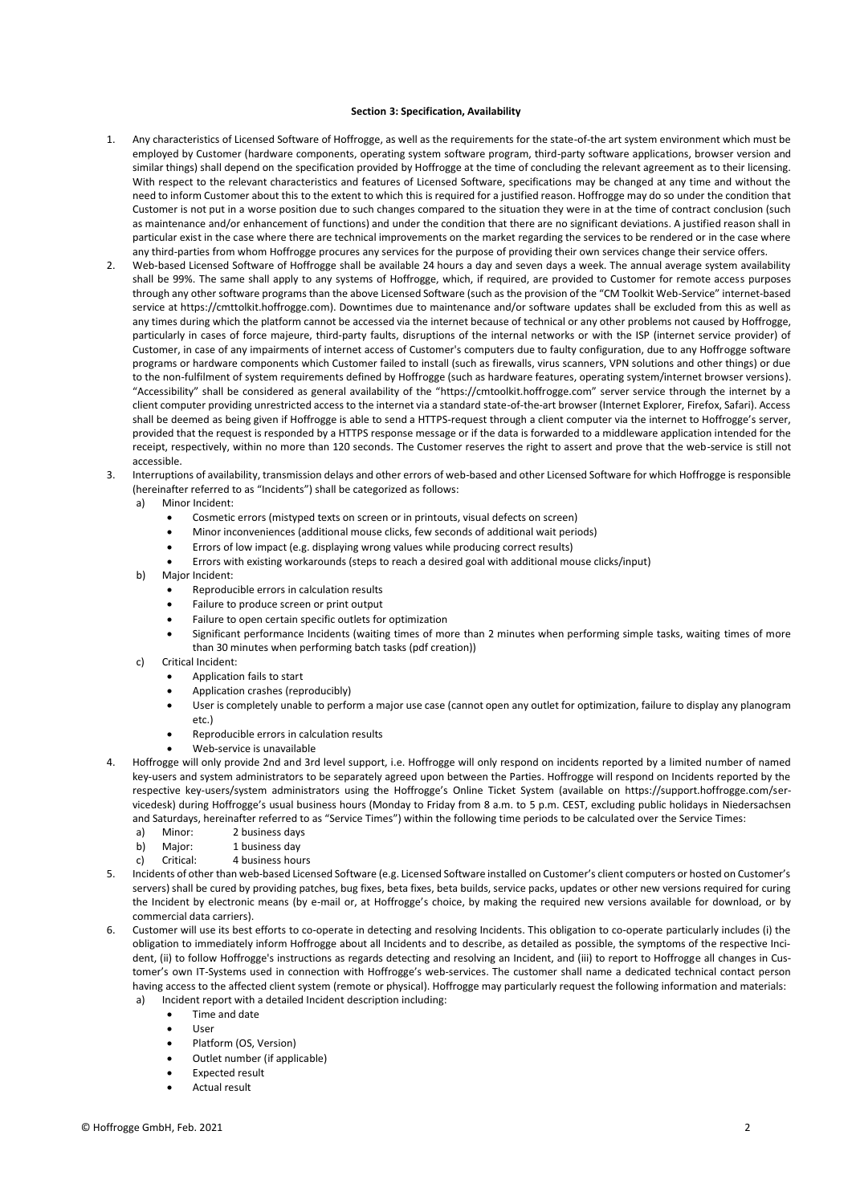#### **Section 3: Specification, Availability**

- 1. Any characteristics of Licensed Software of Hoffrogge, as well as the requirements for the state-of-the art system environment which must be employed by Customer (hardware components, operating system software program, third-party software applications, browser version and similar things) shall depend on the specification provided by Hoffrogge at the time of concluding the relevant agreement as to their licensing. With respect to the relevant characteristics and features of Licensed Software, specifications may be changed at any time and without the need to inform Customer about this to the extent to which this is required for a justified reason. Hoffrogge may do so under the condition that Customer is not put in a worse position due to such changes compared to the situation they were in at the time of contract conclusion (such as maintenance and/or enhancement of functions) and under the condition that there are no significant deviations. A justified reason shall in particular exist in the case where there are technical improvements on the market regarding the services to be rendered or in the case where any third-parties from whom Hoffrogge procures any services for the purpose of providing their own services change their service offers.
- 2. Web-based Licensed Software of Hoffrogge shall be available 24 hours a day and seven days a week. The annual average system availability shall be 99%. The same shall apply to any systems of Hoffrogge, which, if required, are provided to Customer for remote access purposes through any other software programs than the above Licensed Software (such as the provision of the "CM Toolkit Web-Service" internet-based service at https://cmttolkit.hoffrogge.com). Downtimes due to maintenance and/or software updates shall be excluded from this as well as any times during which the platform cannot be accessed via the internet because of technical or any other problems not caused by Hoffrogge, particularly in cases of force majeure, third-party faults, disruptions of the internal networks or with the ISP (internet service provider) of Customer, in case of any impairments of internet access of Customer's computers due to faulty configuration, due to any Hoffrogge software programs or hardware components which Customer failed to install (such as firewalls, virus scanners, VPN solutions and other things) or due to the non-fulfilment of system requirements defined by Hoffrogge (such as hardware features, operating system/internet browser versions). "Accessibility" shall be considered as general availability of the "https://cmtoolkit.hoffrogge.com" server service through the internet by a client computer providing unrestricted access to the internet via a standard state-of-the-art browser (Internet Explorer, Firefox, Safari). Access shall be deemed as being given if Hoffrogge is able to send a HTTPS-request through a client computer via the internet to Hoffrogge's server, provided that the request is responded by a HTTPS response message or if the data is forwarded to a middleware application intended for the receipt, respectively, within no more than 120 seconds. The Customer reserves the right to assert and prove that the web-service is still not accessible.
- 3. Interruptions of availability, transmission delays and other errors of web-based and other Licensed Software for which Hoffrogge is responsible (hereinafter referred to as "Incidents") shall be categorized as follows:
	- a) Minor Incident:
		- Cosmetic errors (mistyped texts on screen or in printouts, visual defects on screen)
		- Minor inconveniences (additional mouse clicks, few seconds of additional wait periods)
		- Errors of low impact (e.g. displaying wrong values while producing correct results)
		- Errors with existing workarounds (steps to reach a desired goal with additional mouse clicks/input)
	- b) Major Incident:
		- Reproducible errors in calculation results
		- Failure to produce screen or print output
		- Failure to open certain specific outlets for optimization
		- Significant performance Incidents (waiting times of more than 2 minutes when performing simple tasks, waiting times of more than 30 minutes when performing batch tasks (pdf creation))
	- c) Critical Incident:
		- Application fails to start
		- Application crashes (reproducibly)
		- User is completely unable to perform a major use case (cannot open any outlet for optimization, failure to display any planogram etc.)
		- Reproducible errors in calculation results
		- Web-service is unavailable
- 4. Hoffrogge will only provide 2nd and 3rd level support, i.e. Hoffrogge will only respond on incidents reported by a limited number of named key-users and system administrators to be separately agreed upon between the Parties. Hoffrogge will respond on Incidents reported by the respective key-users/system administrators using the Hoffrogge's Online Ticket System (available on https://support.hoffrogge.com/servicedesk) during Hoffrogge's usual business hours (Monday to Friday from 8 a.m. to 5 p.m. CEST, excluding public holidays in Niedersachsen and Saturdays, hereinafter referred to as "Service Times") within the following time periods to be calculated over the Service Times:
	- a) Minor: 2 business days
	- b) Major: 1 business day
	- c) Critical: 4 business hours
- 5. Incidents of other than web-based Licensed Software (e.g. Licensed Software installed on Customer's client computers or hosted on Customer's servers) shall be cured by providing patches, bug fixes, beta fixes, beta builds, service packs, updates or other new versions required for curing the Incident by electronic means (by e-mail or, at Hoffrogge's choice, by making the required new versions available for download, or by commercial data carriers).
- 6. Customer will use its best efforts to co-operate in detecting and resolving Incidents. This obligation to co-operate particularly includes (i) the obligation to immediately inform Hoffrogge about all Incidents and to describe, as detailed as possible, the symptoms of the respective Incident, (ii) to follow Hoffrogge's instructions as regards detecting and resolving an Incident, and (iii) to report to Hoffrogge all changes in Customer's own IT-Systems used in connection with Hoffrogge's web-services. The customer shall name a dedicated technical contact person having access to the affected client system (remote or physical). Hoffrogge may particularly request the following information and materials:
	- a) Incident report with a detailed Incident description including:
		- Time and date
		- User
		- Platform (OS, Version)
		- Outlet number (if applicable)
		- Expected result
		- Actual result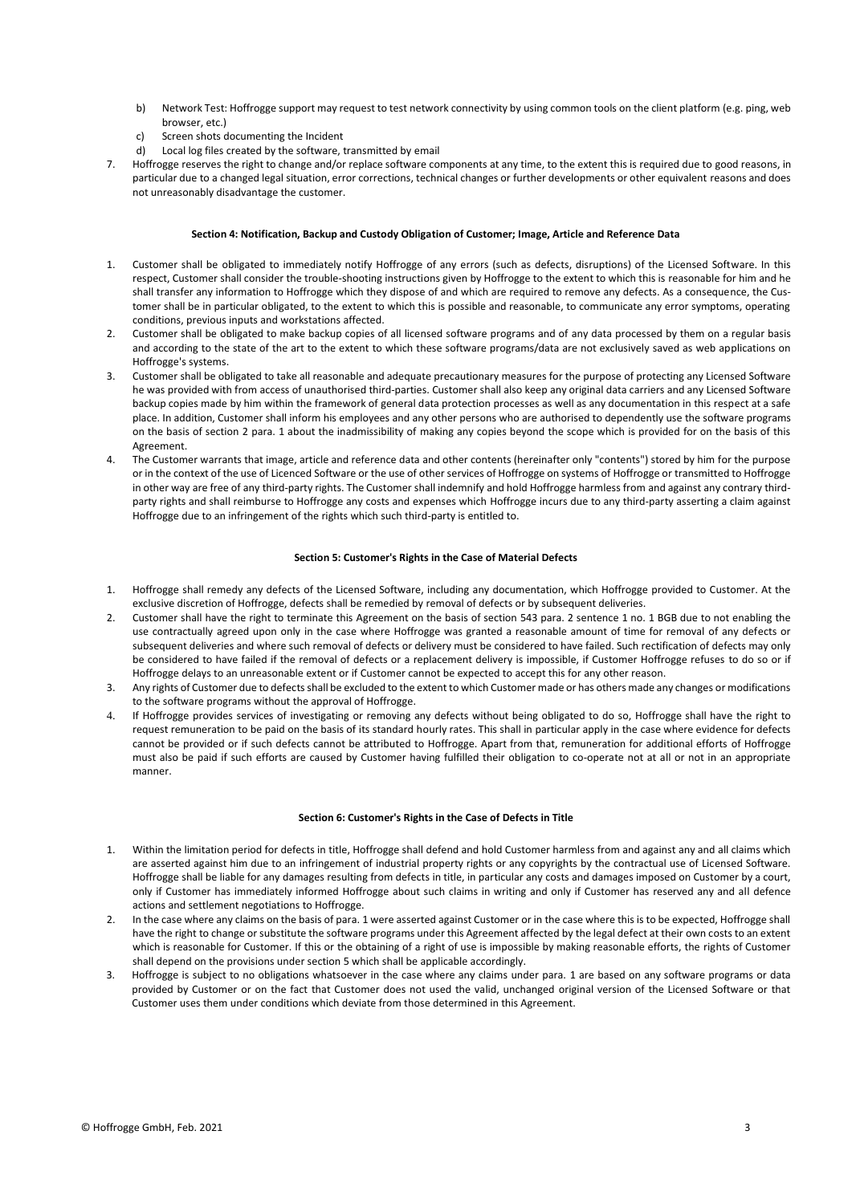- b) Network Test: Hoffrogge support may request to test network connectivity by using common tools on the client platform (e.g. ping, web browser, etc.)
- c) Screen shots documenting the Incident
- d) Local log files created by the software, transmitted by email
- Hoffrogge reserves the right to change and/or replace software components at any time, to the extent this is required due to good reasons, in particular due to a changed legal situation, error corrections, technical changes or further developments or other equivalent reasons and does not unreasonably disadvantage the customer.

#### **Section 4: Notification, Backup and Custody Obligation of Customer; Image, Article and Reference Data**

- 1. Customer shall be obligated to immediately notify Hoffrogge of any errors (such as defects, disruptions) of the Licensed Software. In this respect, Customer shall consider the trouble-shooting instructions given by Hoffrogge to the extent to which this is reasonable for him and he shall transfer any information to Hoffrogge which they dispose of and which are required to remove any defects. As a consequence, the Customer shall be in particular obligated, to the extent to which this is possible and reasonable, to communicate any error symptoms, operating conditions, previous inputs and workstations affected.
- 2. Customer shall be obligated to make backup copies of all licensed software programs and of any data processed by them on a regular basis and according to the state of the art to the extent to which these software programs/data are not exclusively saved as web applications on Hoffrogge's systems.
- 3. Customer shall be obligated to take all reasonable and adequate precautionary measures for the purpose of protecting any Licensed Software he was provided with from access of unauthorised third-parties. Customer shall also keep any original data carriers and any Licensed Software backup copies made by him within the framework of general data protection processes as well as any documentation in this respect at a safe place. In addition, Customer shall inform his employees and any other persons who are authorised to dependently use the software programs on the basis of section 2 para. 1 about the inadmissibility of making any copies beyond the scope which is provided for on the basis of this Agreement.
- 4. The Customer warrants that image, article and reference data and other contents (hereinafter only "contents") stored by him for the purpose or in the context of the use of Licenced Software or the use of other services of Hoffrogge on systems of Hoffrogge or transmitted to Hoffrogge in other way are free of any third-party rights. The Customer shall indemnify and hold Hoffrogge harmless from and against any contrary thirdparty rights and shall reimburse to Hoffrogge any costs and expenses which Hoffrogge incurs due to any third-party asserting a claim against Hoffrogge due to an infringement of the rights which such third-party is entitled to.

## **Section 5: Customer's Rights in the Case of Material Defects**

- 1. Hoffrogge shall remedy any defects of the Licensed Software, including any documentation, which Hoffrogge provided to Customer. At the exclusive discretion of Hoffrogge, defects shall be remedied by removal of defects or by subsequent deliveries.
- 2. Customer shall have the right to terminate this Agreement on the basis of section 543 para. 2 sentence 1 no. 1 BGB due to not enabling the use contractually agreed upon only in the case where Hoffrogge was granted a reasonable amount of time for removal of any defects or subsequent deliveries and where such removal of defects or delivery must be considered to have failed. Such rectification of defects may only be considered to have failed if the removal of defects or a replacement delivery is impossible, if Customer Hoffrogge refuses to do so or if Hoffrogge delays to an unreasonable extent or if Customer cannot be expected to accept this for any other reason.
- 3. Any rights of Customer due to defects shall be excluded to the extent to which Customer made or has others made any changes or modifications to the software programs without the approval of Hoffrogge.
- 4. If Hoffrogge provides services of investigating or removing any defects without being obligated to do so, Hoffrogge shall have the right to request remuneration to be paid on the basis of its standard hourly rates. This shall in particular apply in the case where evidence for defects cannot be provided or if such defects cannot be attributed to Hoffrogge. Apart from that, remuneration for additional efforts of Hoffrogge must also be paid if such efforts are caused by Customer having fulfilled their obligation to co-operate not at all or not in an appropriate manner.

#### **Section 6: Customer's Rights in the Case of Defects in Title**

- 1. Within the limitation period for defects in title, Hoffrogge shall defend and hold Customer harmless from and against any and all claims which are asserted against him due to an infringement of industrial property rights or any copyrights by the contractual use of Licensed Software. Hoffrogge shall be liable for any damages resulting from defects in title, in particular any costs and damages imposed on Customer by a court, only if Customer has immediately informed Hoffrogge about such claims in writing and only if Customer has reserved any and all defence actions and settlement negotiations to Hoffrogge.
- 2. In the case where any claims on the basis of para. 1 were asserted against Customer or in the case where this is to be expected, Hoffrogge shall have the right to change or substitute the software programs under this Agreement affected by the legal defect at their own costs to an extent which is reasonable for Customer. If this or the obtaining of a right of use is impossible by making reasonable efforts, the rights of Customer shall depend on the provisions under section 5 which shall be applicable accordingly.
- Hoffrogge is subject to no obligations whatsoever in the case where any claims under para. 1 are based on any software programs or data provided by Customer or on the fact that Customer does not used the valid, unchanged original version of the Licensed Software or that Customer uses them under conditions which deviate from those determined in this Agreement.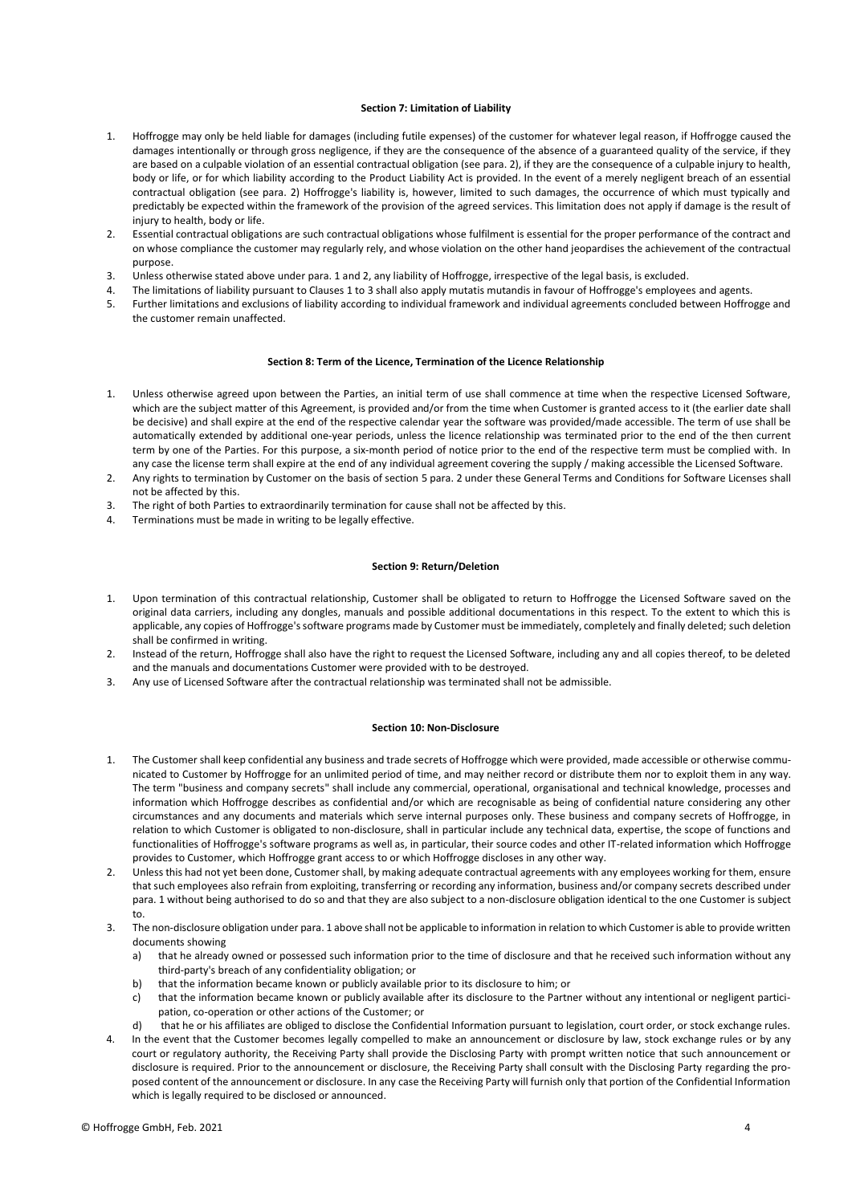#### **Section 7: Limitation of Liability**

- 1. Hoffrogge may only be held liable for damages (including futile expenses) of the customer for whatever legal reason, if Hoffrogge caused the damages intentionally or through gross negligence, if they are the consequence of the absence of a guaranteed quality of the service, if they are based on a culpable violation of an essential contractual obligation (see para. 2), if they are the consequence of a culpable injury to health, body or life, or for which liability according to the Product Liability Act is provided. In the event of a merely negligent breach of an essential contractual obligation (see para. 2) Hoffrogge's liability is, however, limited to such damages, the occurrence of which must typically and predictably be expected within the framework of the provision of the agreed services. This limitation does not apply if damage is the result of injury to health, body or life.
- 2. Essential contractual obligations are such contractual obligations whose fulfilment is essential for the proper performance of the contract and on whose compliance the customer may regularly rely, and whose violation on the other hand jeopardises the achievement of the contractual purpose.
- 3. Unless otherwise stated above under para. 1 and 2, any liability of Hoffrogge, irrespective of the legal basis, is excluded.
- 4. The limitations of liability pursuant to Clauses 1 to 3 shall also apply mutatis mutandis in favour of Hoffrogge's employees and agents.
- 5. Further limitations and exclusions of liability according to individual framework and individual agreements concluded between Hoffrogge and the customer remain unaffected.

### **Section 8: Term of the Licence, Termination of the Licence Relationship**

- 1. Unless otherwise agreed upon between the Parties, an initial term of use shall commence at time when the respective Licensed Software, which are the subject matter of this Agreement, is provided and/or from the time when Customer is granted access to it (the earlier date shall be decisive) and shall expire at the end of the respective calendar year the software was provided/made accessible. The term of use shall be automatically extended by additional one-year periods, unless the licence relationship was terminated prior to the end of the then current term by one of the Parties. For this purpose, a six-month period of notice prior to the end of the respective term must be complied with. In any case the license term shall expire at the end of any individual agreement covering the supply / making accessible the Licensed Software.
- 2. Any rights to termination by Customer on the basis of section 5 para. 2 under these General Terms and Conditions for Software Licenses shall not be affected by this.
- 3. The right of both Parties to extraordinarily termination for cause shall not be affected by this.
- 4. Terminations must be made in writing to be legally effective.

#### **Section 9: Return/Deletion**

- 1. Upon termination of this contractual relationship, Customer shall be obligated to return to Hoffrogge the Licensed Software saved on the original data carriers, including any dongles, manuals and possible additional documentations in this respect. To the extent to which this is applicable, any copies of Hoffrogge's software programs made by Customer must be immediately, completely and finally deleted; such deletion shall be confirmed in writing.
- 2. Instead of the return, Hoffrogge shall also have the right to request the Licensed Software, including any and all copies thereof, to be deleted and the manuals and documentations Customer were provided with to be destroyed.
- 3. Any use of Licensed Software after the contractual relationship was terminated shall not be admissible.

#### **Section 10: Non-Disclosure**

- 1. The Customer shall keep confidential any business and trade secrets of Hoffrogge which were provided, made accessible or otherwise communicated to Customer by Hoffrogge for an unlimited period of time, and may neither record or distribute them nor to exploit them in any way. The term "business and company secrets" shall include any commercial, operational, organisational and technical knowledge, processes and information which Hoffrogge describes as confidential and/or which are recognisable as being of confidential nature considering any other circumstances and any documents and materials which serve internal purposes only. These business and company secrets of Hoffrogge, in relation to which Customer is obligated to non-disclosure, shall in particular include any technical data, expertise, the scope of functions and functionalities of Hoffrogge's software programs as well as, in particular, their source codes and other IT-related information which Hoffrogge provides to Customer, which Hoffrogge grant access to or which Hoffrogge discloses in any other way.
- 2. Unless this had not yet been done, Customer shall, by making adequate contractual agreements with any employees working for them, ensure that such employees also refrain from exploiting, transferring or recording any information, business and/or company secrets described under para. 1 without being authorised to do so and that they are also subject to a non-disclosure obligation identical to the one Customer is subject to.
- 3. The non-disclosure obligation under para. 1 above shall not be applicable to information in relation to which Customer is able to provide written documents showing
	- a) that he already owned or possessed such information prior to the time of disclosure and that he received such information without any third-party's breach of any confidentiality obligation; or
	- b) that the information became known or publicly available prior to its disclosure to him; or
	- c) that the information became known or publicly available after its disclosure to the Partner without any intentional or negligent participation, co-operation or other actions of the Customer; or
- d) that he or his affiliates are obliged to disclose the Confidential Information pursuant to legislation, court order, or stock exchange rules. In the event that the Customer becomes legally compelled to make an announcement or disclosure by law, stock exchange rules or by any court or regulatory authority, the Receiving Party shall provide the Disclosing Party with prompt written notice that such announcement or disclosure is required. Prior to the announcement or disclosure, the Receiving Party shall consult with the Disclosing Party regarding the proposed content of the announcement or disclosure. In any case the Receiving Party will furnish only that portion of the Confidential Information which is legally required to be disclosed or announced.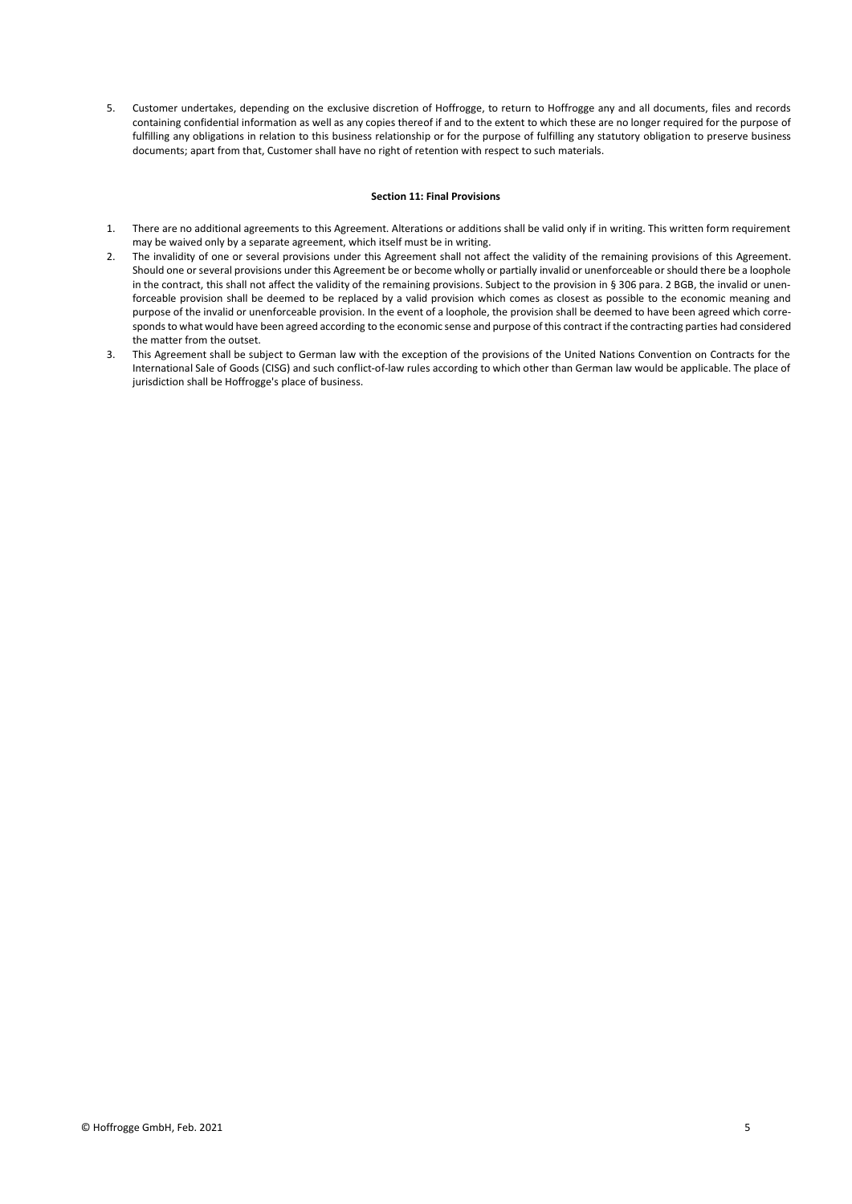5. Customer undertakes, depending on the exclusive discretion of Hoffrogge, to return to Hoffrogge any and all documents, files and records containing confidential information as well as any copies thereof if and to the extent to which these are no longer required for the purpose of fulfilling any obligations in relation to this business relationship or for the purpose of fulfilling any statutory obligation to preserve business documents; apart from that, Customer shall have no right of retention with respect to such materials.

## **Section 11: Final Provisions**

- 1. There are no additional agreements to this Agreement. Alterations or additions shall be valid only if in writing. This written form requirement may be waived only by a separate agreement, which itself must be in writing.
- 2. The invalidity of one or several provisions under this Agreement shall not affect the validity of the remaining provisions of this Agreement. Should one or several provisions under this Agreement be or become wholly or partially invalid or unenforceable or should there be a loophole in the contract, this shall not affect the validity of the remaining provisions. Subject to the provision in § 306 para. 2 BGB, the invalid or unenforceable provision shall be deemed to be replaced by a valid provision which comes as closest as possible to the economic meaning and purpose of the invalid or unenforceable provision. In the event of a loophole, the provision shall be deemed to have been agreed which corresponds to what would have been agreed according to the economic sense and purpose of this contract if the contracting parties had considered the matter from the outset.
- 3. This Agreement shall be subject to German law with the exception of the provisions of the United Nations Convention on Contracts for the International Sale of Goods (CISG) and such conflict-of-law rules according to which other than German law would be applicable. The place of jurisdiction shall be Hoffrogge's place of business.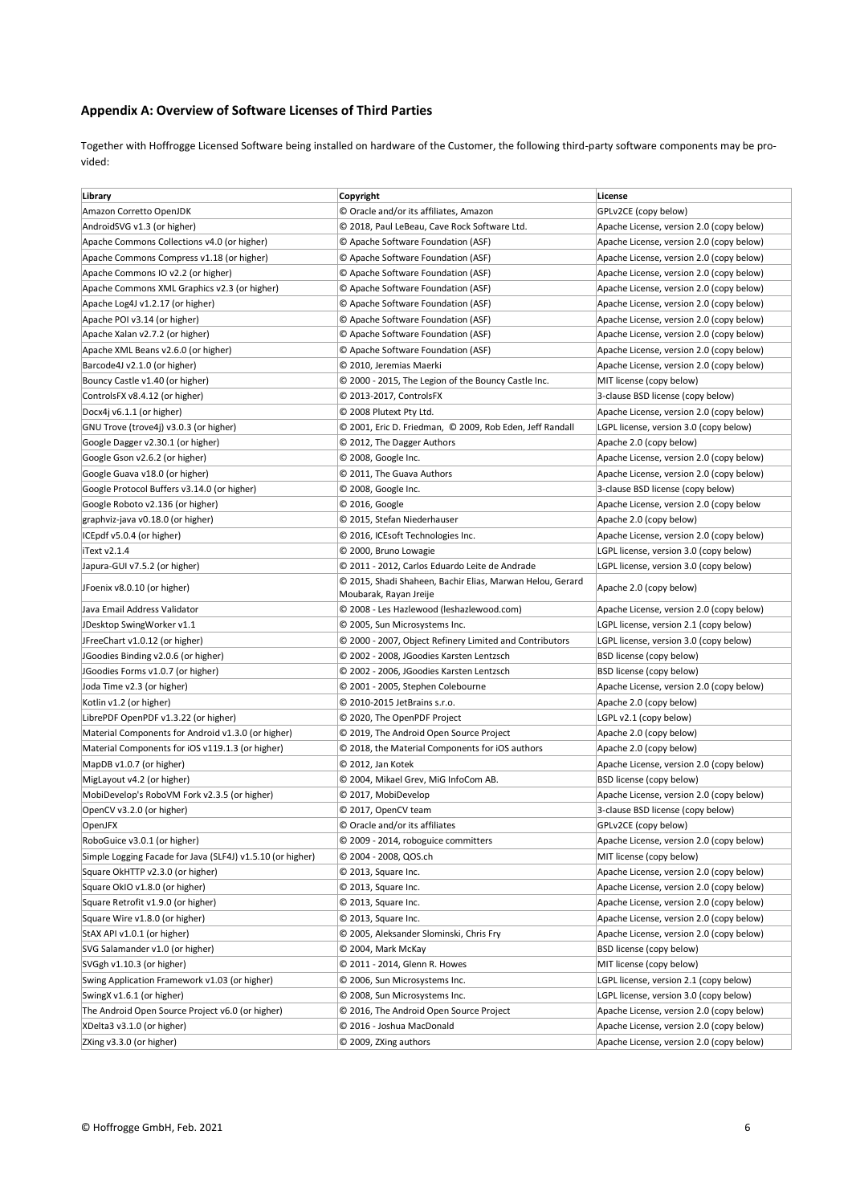## **Appendix A: Overview of Software Licenses of Third Parties**

Together with Hoffrogge Licensed Software being installed on hardware of the Customer, the following third-party software components may be provided:

| Library                                                                       | Copyright                                                                           | License                                                                              |
|-------------------------------------------------------------------------------|-------------------------------------------------------------------------------------|--------------------------------------------------------------------------------------|
| Amazon Corretto OpenJDK                                                       | © Oracle and/or its affiliates, Amazon                                              | GPLv2CE (copy below)                                                                 |
| AndroidSVG v1.3 (or higher)                                                   | © 2018, Paul LeBeau, Cave Rock Software Ltd.                                        | Apache License, version 2.0 (copy below)                                             |
| Apache Commons Collections v4.0 (or higher)                                   | © Apache Software Foundation (ASF)                                                  | Apache License, version 2.0 (copy below)                                             |
| Apache Commons Compress v1.18 (or higher)                                     | © Apache Software Foundation (ASF)                                                  | Apache License, version 2.0 (copy below)                                             |
| Apache Commons IO v2.2 (or higher)                                            | © Apache Software Foundation (ASF)                                                  | Apache License, version 2.0 (copy below)                                             |
| Apache Commons XML Graphics v2.3 (or higher)                                  | © Apache Software Foundation (ASF)                                                  | Apache License, version 2.0 (copy below)                                             |
| Apache Log4J v1.2.17 (or higher)                                              | © Apache Software Foundation (ASF)                                                  | Apache License, version 2.0 (copy below)                                             |
| Apache POI v3.14 (or higher)                                                  | © Apache Software Foundation (ASF)                                                  | Apache License, version 2.0 (copy below)                                             |
| Apache Xalan v2.7.2 (or higher)                                               | © Apache Software Foundation (ASF)                                                  | Apache License, version 2.0 (copy below)                                             |
| Apache XML Beans v2.6.0 (or higher)                                           | © Apache Software Foundation (ASF)                                                  | Apache License, version 2.0 (copy below)                                             |
| Barcode4J v2.1.0 (or higher)                                                  | © 2010, Jeremias Maerki                                                             | Apache License, version 2.0 (copy below)                                             |
| Bouncy Castle v1.40 (or higher)                                               | © 2000 - 2015, The Legion of the Bouncy Castle Inc.                                 | MIT license (copy below)                                                             |
| ControlsFX v8.4.12 (or higher)                                                | © 2013-2017, ControlsFX                                                             | 3-clause BSD license (copy below)                                                    |
| Docx4j v6.1.1 (or higher)                                                     | C 2008 Plutext Pty Ltd.                                                             | Apache License, version 2.0 (copy below)                                             |
| GNU Trove (trove4j) v3.0.3 (or higher)                                        | © 2001, Eric D. Friedman, © 2009, Rob Eden, Jeff Randall                            | LGPL license, version 3.0 (copy below)                                               |
| Google Dagger v2.30.1 (or higher)                                             | © 2012, The Dagger Authors                                                          | Apache 2.0 (copy below)                                                              |
| Google Gson v2.6.2 (or higher)                                                | © 2008, Google Inc.                                                                 | Apache License, version 2.0 (copy below)                                             |
| Google Guava v18.0 (or higher)                                                | © 2011, The Guava Authors                                                           | Apache License, version 2.0 (copy below)                                             |
| Google Protocol Buffers v3.14.0 (or higher)                                   | © 2008, Google Inc.                                                                 | 3-clause BSD license (copy below)                                                    |
| Google Roboto v2.136 (or higher)                                              | © 2016, Google                                                                      | Apache License, version 2.0 (copy below                                              |
| graphviz-java v0.18.0 (or higher)                                             | © 2015, Stefan Niederhauser                                                         | Apache 2.0 (copy below)                                                              |
| ICEpdf v5.0.4 (or higher)                                                     | © 2016, ICEsoft Technologies Inc.                                                   | Apache License, version 2.0 (copy below)                                             |
| iText v2.1.4                                                                  | © 2000, Bruno Lowagie                                                               | LGPL license, version 3.0 (copy below)                                               |
| Japura-GUI v7.5.2 (or higher)                                                 | © 2011 - 2012, Carlos Eduardo Leite de Andrade                                      | LGPL license, version 3.0 (copy below)                                               |
| JFoenix v8.0.10 (or higher)                                                   | © 2015, Shadi Shaheen, Bachir Elias, Marwan Helou, Gerard<br>Moubarak, Rayan Jreije | Apache 2.0 (copy below)                                                              |
| Java Email Address Validator                                                  | © 2008 - Les Hazlewood (leshazlewood.com)                                           | Apache License, version 2.0 (copy below)                                             |
| JDesktop SwingWorker v1.1                                                     | © 2005, Sun Microsystems Inc.                                                       | LGPL license, version 2.1 (copy below)                                               |
| JFreeChart v1.0.12 (or higher)                                                | © 2000 - 2007, Object Refinery Limited and Contributors                             | LGPL license, version 3.0 (copy below)                                               |
| JGoodies Binding v2.0.6 (or higher)                                           | © 2002 - 2008, JGoodies Karsten Lentzsch                                            | BSD license (copy below)                                                             |
| JGoodies Forms v1.0.7 (or higher)                                             | C 2002 - 2006, JGoodies Karsten Lentzsch                                            | BSD license (copy below)                                                             |
| Joda Time v2.3 (or higher)                                                    | © 2001 - 2005, Stephen Colebourne                                                   | Apache License, version 2.0 (copy below)                                             |
| Kotlin v1.2 (or higher)                                                       | © 2010-2015 JetBrains s.r.o.                                                        | Apache 2.0 (copy below)                                                              |
| LibrePDF OpenPDF v1.3.22 (or higher)                                          | © 2020, The OpenPDF Project                                                         | LGPL v2.1 (copy below)                                                               |
| Material Components for Android v1.3.0 (or higher)                            | © 2019, The Android Open Source Project                                             | Apache 2.0 (copy below)                                                              |
| Material Components for iOS v119.1.3 (or higher)                              | © 2018, the Material Components for iOS authors                                     | Apache 2.0 (copy below)                                                              |
| MapDB v1.0.7 (or higher)                                                      | C 2012, Jan Kotek                                                                   | Apache License, version 2.0 (copy below)                                             |
| MigLayout v4.2 (or higher)                                                    | © 2004, Mikael Grev, MiG InfoCom AB.                                                | BSD license (copy below)                                                             |
| MobiDevelop's RoboVM Fork v2.3.5 (or higher)                                  | © 2017, MobiDevelop                                                                 | Apache License, version 2.0 (copy below)                                             |
| OpenCV v3.2.0 (or higher)                                                     | © 2017, OpenCV team                                                                 | 3-clause BSD license (copy below)                                                    |
| OpenJFX                                                                       | © Oracle and/or its affiliates                                                      | GPLv2CE (copy below)                                                                 |
| RoboGuice v3.0.1 (or higher)                                                  | © 2009 - 2014, roboguice committers                                                 | Apache License, version 2.0 (copy below)                                             |
| Simple Logging Facade for Java (SLF4J) v1.5.10 (or higher)                    | © 2004 - 2008, QOS.ch                                                               | MIT license (copy below)                                                             |
| Square OkHTTP v2.3.0 (or higher)                                              | © 2013, Square Inc.                                                                 | Apache License, version 2.0 (copy below)                                             |
| Square OkIO v1.8.0 (or higher)                                                | © 2013, Square Inc.                                                                 | Apache License, version 2.0 (copy below)                                             |
| Square Retrofit v1.9.0 (or higher)                                            | © 2013, Square Inc.                                                                 | Apache License, version 2.0 (copy below)                                             |
| Square Wire v1.8.0 (or higher)                                                | © 2013, Square Inc.                                                                 | Apache License, version 2.0 (copy below)                                             |
| StAX API v1.0.1 (or higher)                                                   | © 2005, Aleksander Slominski, Chris Fry                                             | Apache License, version 2.0 (copy below)                                             |
| SVG Salamander v1.0 (or higher)                                               | C 2004, Mark McKay                                                                  | BSD license (copy below)                                                             |
| SVGgh v1.10.3 (or higher)                                                     | © 2011 - 2014, Glenn R. Howes                                                       | MIT license (copy below)                                                             |
| Swing Application Framework v1.03 (or higher)                                 | © 2006, Sun Microsystems Inc.                                                       | LGPL license, version 2.1 (copy below)                                               |
|                                                                               | © 2008, Sun Microsystems Inc.                                                       |                                                                                      |
| SwingX v1.6.1 (or higher)<br>The Android Open Source Project v6.0 (or higher) |                                                                                     | LGPL license, version 3.0 (copy below)<br>Apache License, version 2.0 (copy below)   |
|                                                                               | © 2016, The Android Open Source Project<br>© 2016 - Joshua MacDonald                |                                                                                      |
| XDelta3 v3.1.0 (or higher)<br>ZXing v3.3.0 (or higher)                        | © 2009, ZXing authors                                                               | Apache License, version 2.0 (copy below)<br>Apache License, version 2.0 (copy below) |
|                                                                               |                                                                                     |                                                                                      |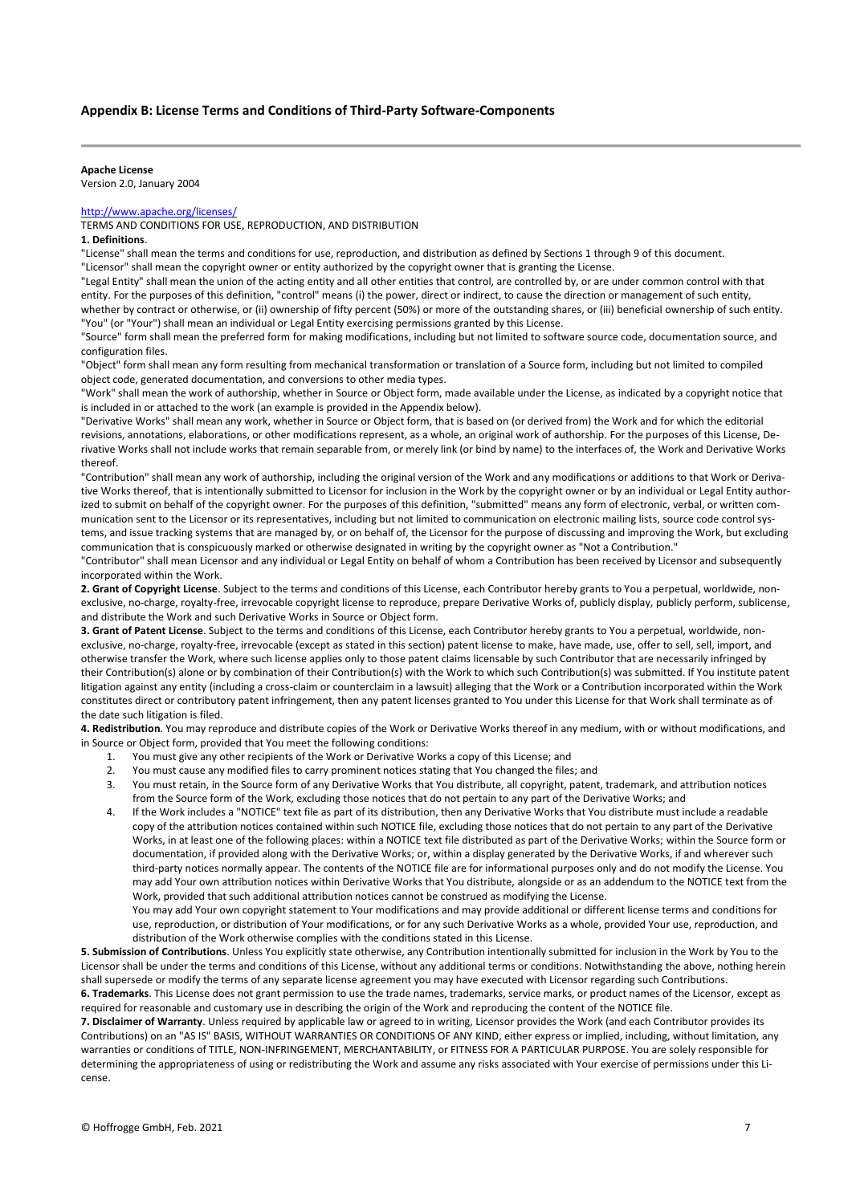## **Appendix B: License Terms and Conditions of Third-Party Software-Components**

#### **Apache License**

Version 2.0, January 2004

## <http://www.apache.org/licenses/>

TERMS AND CONDITIONS FOR USE, REPRODUCTION, AND DISTRIBUTION

## **1. Definitions**.

"License" shall mean the terms and conditions for use, reproduction, and distribution as defined by Sections 1 through 9 of this document.

"Licensor" shall mean the copyright owner or entity authorized by the copyright owner that is granting the License.

"Legal Entity" shall mean the union of the acting entity and all other entities that control, are controlled by, or are under common control with that entity. For the purposes of this definition, "control" means (i) the power, direct or indirect, to cause the direction or management of such entity, whether by contract or otherwise, or (ii) ownership of fifty percent (50%) or more of the outstanding shares, or (iii) beneficial ownership of such entity. "You" (or "Your") shall mean an individual or Legal Entity exercising permissions granted by this License.

"Source" form shall mean the preferred form for making modifications, including but not limited to software source code, documentation source, and configuration files.

"Object" form shall mean any form resulting from mechanical transformation or translation of a Source form, including but not limited to compiled object code, generated documentation, and conversions to other media types.

"Work" shall mean the work of authorship, whether in Source or Object form, made available under the License, as indicated by a copyright notice that is included in or attached to the work (an example is provided in the Appendix below).

"Derivative Works" shall mean any work, whether in Source or Object form, that is based on (or derived from) the Work and for which the editorial revisions, annotations, elaborations, or other modifications represent, as a whole, an original work of authorship. For the purposes of this License, Derivative Works shall not include works that remain separable from, or merely link (or bind by name) to the interfaces of, the Work and Derivative Works thereof.

"Contribution" shall mean any work of authorship, including the original version of the Work and any modifications or additions to that Work or Derivative Works thereof, that is intentionally submitted to Licensor for inclusion in the Work by the copyright owner or by an individual or Legal Entity authorized to submit on behalf of the copyright owner. For the purposes of this definition, "submitted" means any form of electronic, verbal, or written communication sent to the Licensor or its representatives, including but not limited to communication on electronic mailing lists, source code control systems, and issue tracking systems that are managed by, or on behalf of, the Licensor for the purpose of discussing and improving the Work, but excluding communication that is conspicuously marked or otherwise designated in writing by the copyright owner as "Not a Contribution."

"Contributor" shall mean Licensor and any individual or Legal Entity on behalf of whom a Contribution has been received by Licensor and subsequently incorporated within the Work.

**2. Grant of Copyright License**. Subject to the terms and conditions of this License, each Contributor hereby grants to You a perpetual, worldwide, nonexclusive, no-charge, royalty-free, irrevocable copyright license to reproduce, prepare Derivative Works of, publicly display, publicly perform, sublicense, and distribute the Work and such Derivative Works in Source or Object form.

**3. Grant of Patent License**. Subject to the terms and conditions of this License, each Contributor hereby grants to You a perpetual, worldwide, nonexclusive, no-charge, royalty-free, irrevocable (except as stated in this section) patent license to make, have made, use, offer to sell, sell, import, and otherwise transfer the Work, where such license applies only to those patent claims licensable by such Contributor that are necessarily infringed by their Contribution(s) alone or by combination of their Contribution(s) with the Work to which such Contribution(s) was submitted. If You institute patent litigation against any entity (including a cross-claim or counterclaim in a lawsuit) alleging that the Work or a Contribution incorporated within the Work constitutes direct or contributory patent infringement, then any patent licenses granted to You under this License for that Work shall terminate as of the date such litigation is filed.

**4. Redistribution**. You may reproduce and distribute copies of the Work or Derivative Works thereof in any medium, with or without modifications, and in Source or Object form, provided that You meet the following conditions:

- 1. You must give any other recipients of the Work or Derivative Works a copy of this License; and
- 2. You must cause any modified files to carry prominent notices stating that You changed the files; and
- 3. You must retain, in the Source form of any Derivative Works that You distribute, all copyright, patent, trademark, and attribution notices from the Source form of the Work, excluding those notices that do not pertain to any part of the Derivative Works; and
- 4. If the Work includes a "NOTICE" text file as part of its distribution, then any Derivative Works that You distribute must include a readable copy of the attribution notices contained within such NOTICE file, excluding those notices that do not pertain to any part of the Derivative Works, in at least one of the following places: within a NOTICE text file distributed as part of the Derivative Works; within the Source form or documentation, if provided along with the Derivative Works; or, within a display generated by the Derivative Works, if and wherever such third-party notices normally appear. The contents of the NOTICE file are for informational purposes only and do not modify the License. You may add Your own attribution notices within Derivative Works that You distribute, alongside or as an addendum to the NOTICE text from the Work, provided that such additional attribution notices cannot be construed as modifying the License.
	- You may add Your own copyright statement to Your modifications and may provide additional or different license terms and conditions for use, reproduction, or distribution of Your modifications, or for any such Derivative Works as a whole, provided Your use, reproduction, and distribution of the Work otherwise complies with the conditions stated in this License.

**5. Submission of Contributions**. Unless You explicitly state otherwise, any Contribution intentionally submitted for inclusion in the Work by You to the Licensor shall be under the terms and conditions of this License, without any additional terms or conditions. Notwithstanding the above, nothing herein shall supersede or modify the terms of any separate license agreement you may have executed with Licensor regarding such Contributions. **6. Trademarks**. This License does not grant permission to use the trade names, trademarks, service marks, or product names of the Licensor, except as

required for reasonable and customary use in describing the origin of the Work and reproducing the content of the NOTICE file.

**7. Disclaimer of Warranty**. Unless required by applicable law or agreed to in writing, Licensor provides the Work (and each Contributor provides its Contributions) on an "AS IS" BASIS, WITHOUT WARRANTIES OR CONDITIONS OF ANY KIND, either express or implied, including, without limitation, any warranties or conditions of TITLE, NON-INFRINGEMENT, MERCHANTABILITY, or FITNESS FOR A PARTICULAR PURPOSE. You are solely responsible for determining the appropriateness of using or redistributing the Work and assume any risks associated with Your exercise of permissions under this License.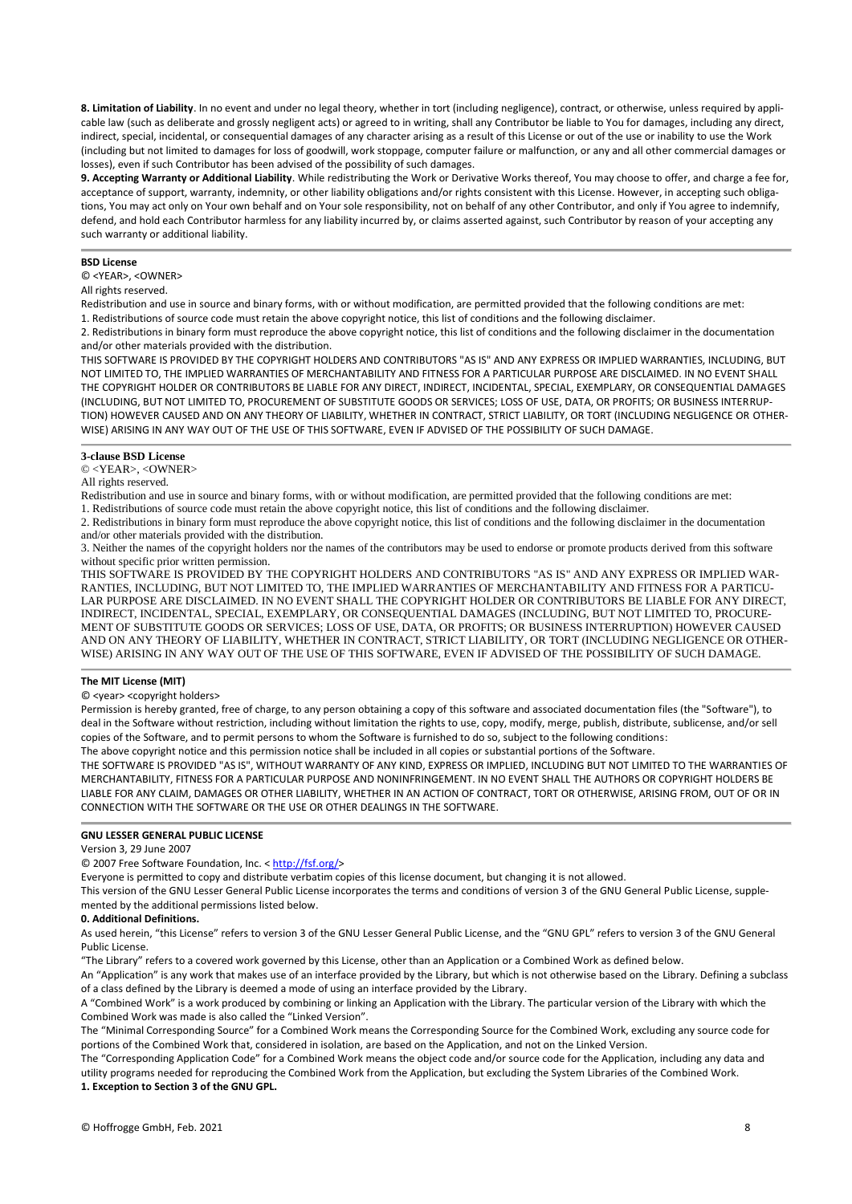**8. Limitation of Liability**. In no event and under no legal theory, whether in tort (including negligence), contract, or otherwise, unless required by applicable law (such as deliberate and grossly negligent acts) or agreed to in writing, shall any Contributor be liable to You for damages, including any direct, indirect, special, incidental, or consequential damages of any character arising as a result of this License or out of the use or inability to use the Work (including but not limited to damages for loss of goodwill, work stoppage, computer failure or malfunction, or any and all other commercial damages or losses), even if such Contributor has been advised of the possibility of such damages.

**9. Accepting Warranty or Additional Liability**. While redistributing the Work or Derivative Works thereof, You may choose to offer, and charge a fee for, acceptance of support, warranty, indemnity, or other liability obligations and/or rights consistent with this License. However, in accepting such obligations, You may act only on Your own behalf and on Your sole responsibility, not on behalf of any other Contributor, and only if You agree to indemnify, defend, and hold each Contributor harmless for any liability incurred by, or claims asserted against, such Contributor by reason of your accepting any such warranty or additional liability.

## **BSD License**

© <YEAR>, <OWNER>

## All rights reserved.

Redistribution and use in source and binary forms, with or without modification, are permitted provided that the following conditions are met:

1. Redistributions of source code must retain the above copyright notice, this list of conditions and the following disclaimer.

2. Redistributions in binary form must reproduce the above copyright notice, this list of conditions and the following disclaimer in the documentation and/or other materials provided with the distribution.

THIS SOFTWARE IS PROVIDED BY THE COPYRIGHT HOLDERS AND CONTRIBUTORS "AS IS" AND ANY EXPRESS OR IMPLIED WARRANTIES, INCLUDING, BUT NOT LIMITED TO, THE IMPLIED WARRANTIES OF MERCHANTABILITY AND FITNESS FOR A PARTICULAR PURPOSE ARE DISCLAIMED. IN NO EVENT SHALL THE COPYRIGHT HOLDER OR CONTRIBUTORS BE LIABLE FOR ANY DIRECT, INDIRECT, INCIDENTAL, SPECIAL, EXEMPLARY, OR CONSEQUENTIAL DAMAGES (INCLUDING, BUT NOT LIMITED TO, PROCUREMENT OF SUBSTITUTE GOODS OR SERVICES; LOSS OF USE, DATA, OR PROFITS; OR BUSINESS INTERRUP-TION) HOWEVER CAUSED AND ON ANY THEORY OF LIABILITY, WHETHER IN CONTRACT, STRICT LIABILITY, OR TORT (INCLUDING NEGLIGENCE OR OTHER-WISE) ARISING IN ANY WAY OUT OF THE USE OF THIS SOFTWARE, EVEN IF ADVISED OF THE POSSIBILITY OF SUCH DAMAGE.

## **3-clause BSD License**

## © <YEAR>, <OWNER>

All rights reserved.

Redistribution and use in source and binary forms, with or without modification, are permitted provided that the following conditions are met:

1. Redistributions of source code must retain the above copyright notice, this list of conditions and the following disclaimer.

2. Redistributions in binary form must reproduce the above copyright notice, this list of conditions and the following disclaimer in the documentation and/or other materials provided with the distribution.

3. Neither the names of the copyright holders nor the names of the contributors may be used to endorse or promote products derived from this software without specific prior written permission.

THIS SOFTWARE IS PROVIDED BY THE COPYRIGHT HOLDERS AND CONTRIBUTORS "AS IS" AND ANY EXPRESS OR IMPLIED WAR-RANTIES, INCLUDING, BUT NOT LIMITED TO, THE IMPLIED WARRANTIES OF MERCHANTABILITY AND FITNESS FOR A PARTICU-LAR PURPOSE ARE DISCLAIMED. IN NO EVENT SHALL THE COPYRIGHT HOLDER OR CONTRIBUTORS BE LIABLE FOR ANY DIRECT, INDIRECT, INCIDENTAL, SPECIAL, EXEMPLARY, OR CONSEQUENTIAL DAMAGES (INCLUDING, BUT NOT LIMITED TO, PROCURE-MENT OF SUBSTITUTE GOODS OR SERVICES; LOSS OF USE, DATA, OR PROFITS; OR BUSINESS INTERRUPTION) HOWEVER CAUSED AND ON ANY THEORY OF LIABILITY, WHETHER IN CONTRACT, STRICT LIABILITY, OR TORT (INCLUDING NEGLIGENCE OR OTHER-WISE) ARISING IN ANY WAY OUT OF THE USE OF THIS SOFTWARE, EVEN IF ADVISED OF THE POSSIBILITY OF SUCH DAMAGE.

#### **The MIT License (MIT)**

## © <year> <copyright holders>

Permission is hereby granted, free of charge, to any person obtaining a copy of this software and associated documentation files (the "Software"), to deal in the Software without restriction, including without limitation the rights to use, copy, modify, merge, publish, distribute, sublicense, and/or sell copies of the Software, and to permit persons to whom the Software is furnished to do so, subject to the following conditions:

The above copyright notice and this permission notice shall be included in all copies or substantial portions of the Software.

THE SOFTWARE IS PROVIDED "AS IS", WITHOUT WARRANTY OF ANY KIND, EXPRESS OR IMPLIED, INCLUDING BUT NOT LIMITED TO THE WARRANTIES OF MERCHANTABILITY, FITNESS FOR A PARTICULAR PURPOSE AND NONINFRINGEMENT. IN NO EVENT SHALL THE AUTHORS OR COPYRIGHT HOLDERS BE LIABLE FOR ANY CLAIM, DAMAGES OR OTHER LIABILITY, WHETHER IN AN ACTION OF CONTRACT, TORT OR OTHERWISE, ARISING FROM, OUT OF OR IN CONNECTION WITH THE SOFTWARE OR THE USE OR OTHER DEALINGS IN THE SOFTWARE.

## **GNU LESSER GENERAL PUBLIC LICENSE**

## Version 3, 29 June 2007

© 2007 Free Software Foundation, Inc. < [http://fsf.org/>](http://fsf.org/)

Everyone is permitted to copy and distribute verbatim copies of this license document, but changing it is not allowed.

This version of the GNU Lesser General Public License incorporates the terms and conditions of version 3 of the GNU General Public License, supplemented by the additional permissions listed below.

#### **0. Additional Definitions.**

As used herein, "this License" refers to version 3 of the GNU Lesser General Public License, and the "GNU GPL" refers to version 3 of the GNU General Public License.

"The Library" refers to a covered work governed by this License, other than an Application or a Combined Work as defined below.

An "Application" is any work that makes use of an interface provided by the Library, but which is not otherwise based on the Library. Defining a subclass of a class defined by the Library is deemed a mode of using an interface provided by the Library.

A "Combined Work" is a work produced by combining or linking an Application with the Library. The particular version of the Library with which the Combined Work was made is also called the "Linked Version".

The "Minimal Corresponding Source" for a Combined Work means the Corresponding Source for the Combined Work, excluding any source code for portions of the Combined Work that, considered in isolation, are based on the Application, and not on the Linked Version.

The "Corresponding Application Code" for a Combined Work means the object code and/or source code for the Application, including any data and utility programs needed for reproducing the Combined Work from the Application, but excluding the System Libraries of the Combined Work. **1. Exception to Section 3 of the GNU GPL.**

© Hoffrogge GmbH, Feb. 2021 8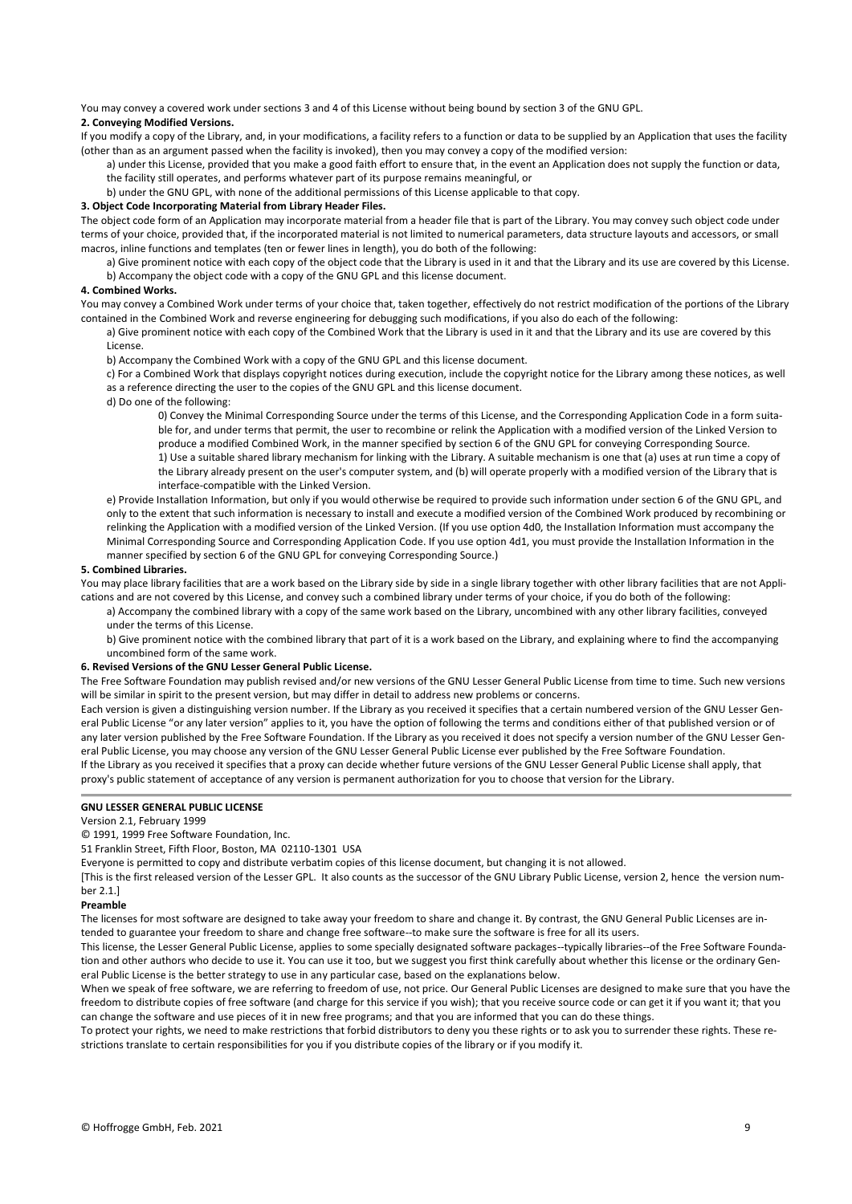You may convey a covered work under sections 3 and 4 of this License without being bound by section 3 of the GNU GPL.

## **2. Conveying Modified Versions.**

If you modify a copy of the Library, and, in your modifications, a facility refers to a function or data to be supplied by an Application that uses the facility (other than as an argument passed when the facility is invoked), then you may convey a copy of the modified version:

a) under this License, provided that you make a good faith effort to ensure that, in the event an Application does not supply the function or data, the facility still operates, and performs whatever part of its purpose remains meaningful, or

b) under the GNU GPL, with none of the additional permissions of this License applicable to that copy.

## **3. Object Code Incorporating Material from Library Header Files.**

The object code form of an Application may incorporate material from a header file that is part of the Library. You may convey such object code under terms of your choice, provided that, if the incorporated material is not limited to numerical parameters, data structure layouts and accessors, or small macros, inline functions and templates (ten or fewer lines in length), you do both of the following:

a) Give prominent notice with each copy of the object code that the Library is used in it and that the Library and its use are covered by this License. b) Accompany the object code with a copy of the GNU GPL and this license document.

## **4. Combined Works.**

You may convey a Combined Work under terms of your choice that, taken together, effectively do not restrict modification of the portions of the Library contained in the Combined Work and reverse engineering for debugging such modifications, if you also do each of the following:

a) Give prominent notice with each copy of the Combined Work that the Library is used in it and that the Library and its use are covered by this License.

b) Accompany the Combined Work with a copy of the GNU GPL and this license document.

c) For a Combined Work that displays copyright notices during execution, include the copyright notice for the Library among these notices, as well as a reference directing the user to the copies of the GNU GPL and this license document.

d) Do one of the following:

0) Convey the Minimal Corresponding Source under the terms of this License, and the Corresponding Application Code in a form suitable for, and under terms that permit, the user to recombine or relink the Application with a modified version of the Linked Version to produce a modified Combined Work, in the manner specified by section 6 of the GNU GPL for conveying Corresponding Source. 1) Use a suitable shared library mechanism for linking with the Library. A suitable mechanism is one that (a) uses at run time a copy of

the Library already present on the user's computer system, and (b) will operate properly with a modified version of the Library that is interface-compatible with the Linked Version.

e) Provide Installation Information, but only if you would otherwise be required to provide such information under section 6 of the GNU GPL, and only to the extent that such information is necessary to install and execute a modified version of the Combined Work produced by recombining or relinking the Application with a modified version of the Linked Version. (If you use option 4d0, the Installation Information must accompany the Minimal Corresponding Source and Corresponding Application Code. If you use option 4d1, you must provide the Installation Information in the manner specified by section 6 of the GNU GPL for conveying Corresponding Source.)

#### **5. Combined Libraries.**

You may place library facilities that are a work based on the Library side by side in a single library together with other library facilities that are not Applications and are not covered by this License, and convey such a combined library under terms of your choice, if you do both of the following:

a) Accompany the combined library with a copy of the same work based on the Library, uncombined with any other library facilities, conveyed under the terms of this License.

b) Give prominent notice with the combined library that part of it is a work based on the Library, and explaining where to find the accompanying uncombined form of the same work.

## **6. Revised Versions of the GNU Lesser General Public License.**

The Free Software Foundation may publish revised and/or new versions of the GNU Lesser General Public License from time to time. Such new versions will be similar in spirit to the present version, but may differ in detail to address new problems or concerns.

Each version is given a distinguishing version number. If the Library as you received it specifies that a certain numbered version of the GNU Lesser General Public License "or any later version" applies to it, you have the option of following the terms and conditions either of that published version or of any later version published by the Free Software Foundation. If the Library as you received it does not specify a version number of the GNU Lesser General Public License, you may choose any version of the GNU Lesser General Public License ever published by the Free Software Foundation. If the Library as you received it specifies that a proxy can decide whether future versions of the GNU Lesser General Public License shall apply, that proxy's public statement of acceptance of any version is permanent authorization for you to choose that version for the Library.

## **GNU LESSER GENERAL PUBLIC LICENSE**

#### Version 2.1, February 1999

© 1991, 1999 Free Software Foundation, Inc.

51 Franklin Street, Fifth Floor, Boston, MA 02110-1301 USA

Everyone is permitted to copy and distribute verbatim copies of this license document, but changing it is not allowed.

[This is the first released version of the Lesser GPL. It also counts as the successor of the GNU Library Public License, version 2, hence the version number 2.1.]

#### **Preamble**

The licenses for most software are designed to take away your freedom to share and change it. By contrast, the GNU General Public Licenses are intended to guarantee your freedom to share and change free software--to make sure the software is free for all its users.

This license, the Lesser General Public License, applies to some specially designated software packages--typically libraries--of the Free Software Foundation and other authors who decide to use it. You can use it too, but we suggest you first think carefully about whether this license or the ordinary General Public License is the better strategy to use in any particular case, based on the explanations below.

When we speak of free software, we are referring to freedom of use, not price. Our General Public Licenses are designed to make sure that you have the freedom to distribute copies of free software (and charge for this service if you wish); that you receive source code or can get it if you want it; that you can change the software and use pieces of it in new free programs; and that you are informed that you can do these things.

To protect your rights, we need to make restrictions that forbid distributors to deny you these rights or to ask you to surrender these rights. These restrictions translate to certain responsibilities for you if you distribute copies of the library or if you modify it.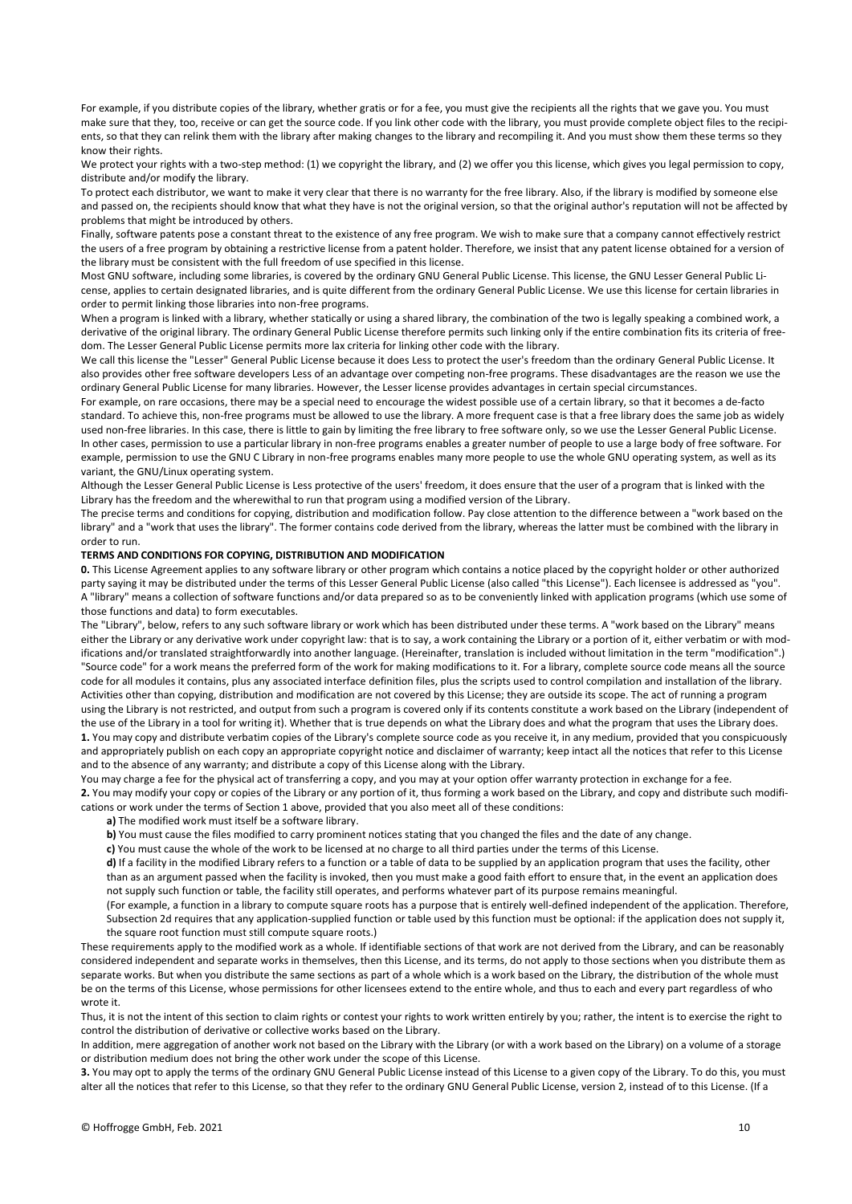For example, if you distribute copies of the library, whether gratis or for a fee, you must give the recipients all the rights that we gave you. You must make sure that they, too, receive or can get the source code. If you link other code with the library, you must provide complete object files to the recipients, so that they can relink them with the library after making changes to the library and recompiling it. And you must show them these terms so they know their rights.

We protect your rights with a two-step method: (1) we copyright the library, and (2) we offer you this license, which gives you legal permission to copy, distribute and/or modify the library.

To protect each distributor, we want to make it very clear that there is no warranty for the free library. Also, if the library is modified by someone else and passed on, the recipients should know that what they have is not the original version, so that the original author's reputation will not be affected by problems that might be introduced by others.

Finally, software patents pose a constant threat to the existence of any free program. We wish to make sure that a company cannot effectively restrict the users of a free program by obtaining a restrictive license from a patent holder. Therefore, we insist that any patent license obtained for a version of the library must be consistent with the full freedom of use specified in this license.

Most GNU software, including some libraries, is covered by the ordinary GNU General Public License. This license, the GNU Lesser General Public License, applies to certain designated libraries, and is quite different from the ordinary General Public License. We use this license for certain libraries in order to permit linking those libraries into non-free programs.

When a program is linked with a library, whether statically or using a shared library, the combination of the two is legally speaking a combined work, a derivative of the original library. The ordinary General Public License therefore permits such linking only if the entire combination fits its criteria of freedom. The Lesser General Public License permits more lax criteria for linking other code with the library.

We call this license the "Lesser" General Public License because it does Less to protect the user's freedom than the ordinary General Public License. It also provides other free software developers Less of an advantage over competing non-free programs. These disadvantages are the reason we use the ordinary General Public License for many libraries. However, the Lesser license provides advantages in certain special circumstances.

For example, on rare occasions, there may be a special need to encourage the widest possible use of a certain library, so that it becomes a de-facto standard. To achieve this, non-free programs must be allowed to use the library. A more frequent case is that a free library does the same job as widely used non-free libraries. In this case, there is little to gain by limiting the free library to free software only, so we use the Lesser General Public License. In other cases, permission to use a particular library in non-free programs enables a greater number of people to use a large body of free software. For example, permission to use the GNU C Library in non-free programs enables many more people to use the whole GNU operating system, as well as its variant, the GNU/Linux operating system.

Although the Lesser General Public License is Less protective of the users' freedom, it does ensure that the user of a program that is linked with the Library has the freedom and the wherewithal to run that program using a modified version of the Library.

The precise terms and conditions for copying, distribution and modification follow. Pay close attention to the difference between a "work based on the library" and a "work that uses the library". The former contains code derived from the library, whereas the latter must be combined with the library in order to run.

### **TERMS AND CONDITIONS FOR COPYING, DISTRIBUTION AND MODIFICATION**

**0.** This License Agreement applies to any software library or other program which contains a notice placed by the copyright holder or other authorized party saying it may be distributed under the terms of this Lesser General Public License (also called "this License"). Each licensee is addressed as "you". A "library" means a collection of software functions and/or data prepared so as to be conveniently linked with application programs (which use some of those functions and data) to form executables.

The "Library", below, refers to any such software library or work which has been distributed under these terms. A "work based on the Library" means either the Library or any derivative work under copyright law: that is to say, a work containing the Library or a portion of it, either verbatim or with modifications and/or translated straightforwardly into another language. (Hereinafter, translation is included without limitation in the term "modification".) "Source code" for a work means the preferred form of the work for making modifications to it. For a library, complete source code means all the source code for all modules it contains, plus any associated interface definition files, plus the scripts used to control compilation and installation of the library. Activities other than copying, distribution and modification are not covered by this License; they are outside its scope. The act of running a program using the Library is not restricted, and output from such a program is covered only if its contents constitute a work based on the Library (independent of the use of the Library in a tool for writing it). Whether that is true depends on what the Library does and what the program that uses the Library does. **1.** You may copy and distribute verbatim copies of the Library's complete source code as you receive it, in any medium, provided that you conspicuously and appropriately publish on each copy an appropriate copyright notice and disclaimer of warranty; keep intact all the notices that refer to this License and to the absence of any warranty; and distribute a copy of this License along with the Library.

You may charge a fee for the physical act of transferring a copy, and you may at your option offer warranty protection in exchange for a fee. **2.** You may modify your copy or copies of the Library or any portion of it, thus forming a work based on the Library, and copy and distribute such modifications or work under the terms of Section 1 above, provided that you also meet all of these conditions:

**a)** The modified work must itself be a software library.

**b)** You must cause the files modified to carry prominent notices stating that you changed the files and the date of any change.

**c)** You must cause the whole of the work to be licensed at no charge to all third parties under the terms of this License.

**d)** If a facility in the modified Library refers to a function or a table of data to be supplied by an application program that uses the facility, other than as an argument passed when the facility is invoked, then you must make a good faith effort to ensure that, in the event an application does not supply such function or table, the facility still operates, and performs whatever part of its purpose remains meaningful.

(For example, a function in a library to compute square roots has a purpose that is entirely well-defined independent of the application. Therefore, Subsection 2d requires that any application-supplied function or table used by this function must be optional: if the application does not supply it, the square root function must still compute square roots.)

These requirements apply to the modified work as a whole. If identifiable sections of that work are not derived from the Library, and can be reasonably considered independent and separate works in themselves, then this License, and its terms, do not apply to those sections when you distribute them as separate works. But when you distribute the same sections as part of a whole which is a work based on the Library, the distribution of the whole must be on the terms of this License, whose permissions for other licensees extend to the entire whole, and thus to each and every part regardless of who wrote it.

Thus, it is not the intent of this section to claim rights or contest your rights to work written entirely by you; rather, the intent is to exercise the right to control the distribution of derivative or collective works based on the Library.

In addition, mere aggregation of another work not based on the Library with the Library (or with a work based on the Library) on a volume of a storage or distribution medium does not bring the other work under the scope of this License.

**3.** You may opt to apply the terms of the ordinary GNU General Public License instead of this License to a given copy of the Library. To do this, you must alter all the notices that refer to this License, so that they refer to the ordinary GNU General Public License, version 2, instead of to this License. (If a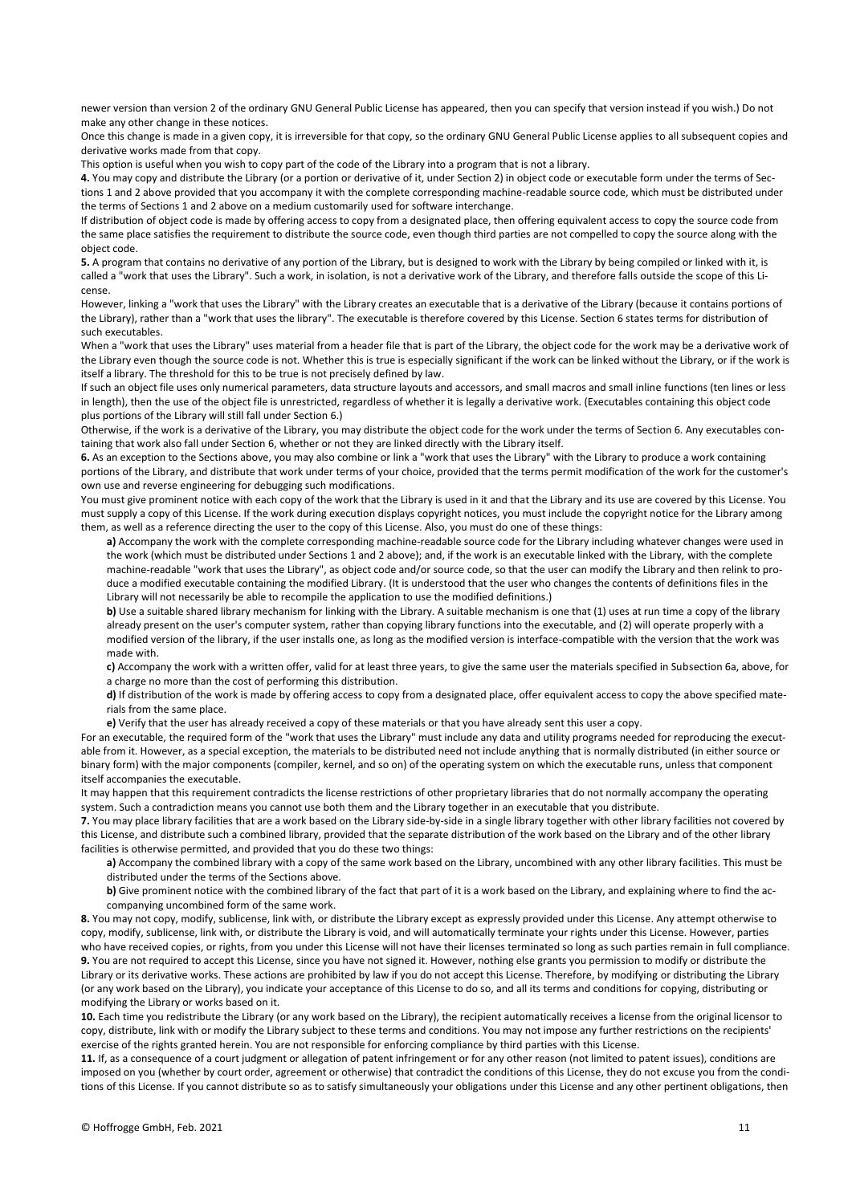newer version than version 2 of the ordinary GNU General Public License has appeared, then you can specify that version instead if you wish.) Do not make any other change in these notices.

Once this change is made in a given copy, it is irreversible for that copy, so the ordinary GNU General Public License applies to all subsequent copies and derivative works made from that copy.

This option is useful when you wish to copy part of the code of the Library into a program that is not a library.

**4.** You may copy and distribute the Library (or a portion or derivative of it, under Section 2) in object code or executable form under the terms of Sections 1 and 2 above provided that you accompany it with the complete corresponding machine-readable source code, which must be distributed under the terms of Sections 1 and 2 above on a medium customarily used for software interchange.

If distribution of object code is made by offering access to copy from a designated place, then offering equivalent access to copy the source code from the same place satisfies the requirement to distribute the source code, even though third parties are not compelled to copy the source along with the object code.

**5.** A program that contains no derivative of any portion of the Library, but is designed to work with the Library by being compiled or linked with it, is called a "work that uses the Library". Such a work, in isolation, is not a derivative work of the Library, and therefore falls outside the scope of this License.

However, linking a "work that uses the Library" with the Library creates an executable that is a derivative of the Library (because it contains portions of the Library), rather than a "work that uses the library". The executable is therefore covered by this License. Section 6 states terms for distribution of such executables.

When a "work that uses the Library" uses material from a header file that is part of the Library, the object code for the work may be a derivative work of the Library even though the source code is not. Whether this is true is especially significant if the work can be linked without the Library, or if the work is itself a library. The threshold for this to be true is not precisely defined by law.

If such an object file uses only numerical parameters, data structure layouts and accessors, and small macros and small inline functions (ten lines or less in length), then the use of the object file is unrestricted, regardless of whether it is legally a derivative work. (Executables containing this object code plus portions of the Library will still fall under Section 6.)

Otherwise, if the work is a derivative of the Library, you may distribute the object code for the work under the terms of Section 6. Any executables containing that work also fall under Section 6, whether or not they are linked directly with the Library itself.

**6.** As an exception to the Sections above, you may also combine or link a "work that uses the Library" with the Library to produce a work containing portions of the Library, and distribute that work under terms of your choice, provided that the terms permit modification of the work for the customer's own use and reverse engineering for debugging such modifications.

You must give prominent notice with each copy of the work that the Library is used in it and that the Library and its use are covered by this License. You must supply a copy of this License. If the work during execution displays copyright notices, you must include the copyright notice for the Library among them, as well as a reference directing the user to the copy of this License. Also, you must do one of these things:

**a)** Accompany the work with the complete corresponding machine-readable source code for the Library including whatever changes were used in the work (which must be distributed under Sections 1 and 2 above); and, if the work is an executable linked with the Library, with the complete machine-readable "work that uses the Library", as object code and/or source code, so that the user can modify the Library and then relink to produce a modified executable containing the modified Library. (It is understood that the user who changes the contents of definitions files in the Library will not necessarily be able to recompile the application to use the modified definitions.)

**b)** Use a suitable shared library mechanism for linking with the Library. A suitable mechanism is one that (1) uses at run time a copy of the library already present on the user's computer system, rather than copying library functions into the executable, and (2) will operate properly with a modified version of the library, if the user installs one, as long as the modified version is interface-compatible with the version that the work was made with.

**c)** Accompany the work with a written offer, valid for at least three years, to give the same user the materials specified in Subsection 6a, above, for a charge no more than the cost of performing this distribution.

**d**) If distribution of the work is made by offering access to copy from a designated place, offer equivalent access to copy the above specified materials from the same place.

**e)** Verify that the user has already received a copy of these materials or that you have already sent this user a copy.

For an executable, the required form of the "work that uses the Library" must include any data and utility programs needed for reproducing the executable from it. However, as a special exception, the materials to be distributed need not include anything that is normally distributed (in either source or binary form) with the major components (compiler, kernel, and so on) of the operating system on which the executable runs, unless that component itself accompanies the executable.

It may happen that this requirement contradicts the license restrictions of other proprietary libraries that do not normally accompany the operating system. Such a contradiction means you cannot use both them and the Library together in an executable that you distribute.

**7.** You may place library facilities that are a work based on the Library side-by-side in a single library together with other library facilities not covered by this License, and distribute such a combined library, provided that the separate distribution of the work based on the Library and of the other library facilities is otherwise permitted, and provided that you do these two things:

**a)** Accompany the combined library with a copy of the same work based on the Library, uncombined with any other library facilities. This must be distributed under the terms of the Sections above.

**b)** Give prominent notice with the combined library of the fact that part of it is a work based on the Library, and explaining where to find the accompanying uncombined form of the same work.

**8.** You may not copy, modify, sublicense, link with, or distribute the Library except as expressly provided under this License. Any attempt otherwise to copy, modify, sublicense, link with, or distribute the Library is void, and will automatically terminate your rights under this License. However, parties who have received copies, or rights, from you under this License will not have their licenses terminated so long as such parties remain in full compliance. **9.** You are not required to accept this License, since you have not signed it. However, nothing else grants you permission to modify or distribute the Library or its derivative works. These actions are prohibited by law if you do not accept this License. Therefore, by modifying or distributing the Library (or any work based on the Library), you indicate your acceptance of this License to do so, and all its terms and conditions for copying, distributing or modifying the Library or works based on it.

**10.** Each time you redistribute the Library (or any work based on the Library), the recipient automatically receives a license from the original licensor to copy, distribute, link with or modify the Library subject to these terms and conditions. You may not impose any further restrictions on the recipients' exercise of the rights granted herein. You are not responsible for enforcing compliance by third parties with this License.

**11.** If, as a consequence of a court judgment or allegation of patent infringement or for any other reason (not limited to patent issues), conditions are imposed on you (whether by court order, agreement or otherwise) that contradict the conditions of this License, they do not excuse you from the conditions of this License. If you cannot distribute so as to satisfy simultaneously your obligations under this License and any other pertinent obligations, then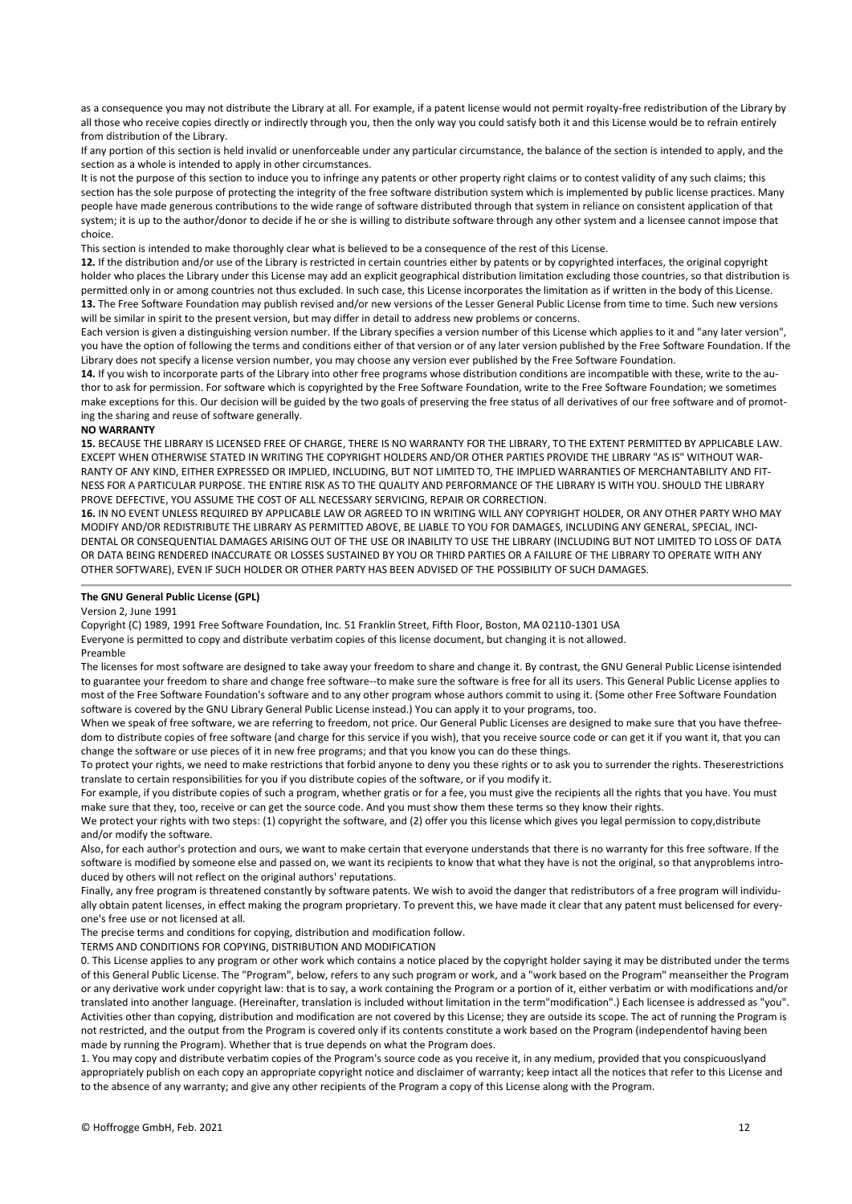as a consequence you may not distribute the Library at all. For example, if a patent license would not permit royalty-free redistribution of the Library by all those who receive copies directly or indirectly through you, then the only way you could satisfy both it and this License would be to refrain entirely from distribution of the Library.

If any portion of this section is held invalid or unenforceable under any particular circumstance, the balance of the section is intended to apply, and the section as a whole is intended to apply in other circumstances.

It is not the purpose of this section to induce you to infringe any patents or other property right claims or to contest validity of any such claims; this section has the sole purpose of protecting the integrity of the free software distribution system which is implemented by public license practices. Many people have made generous contributions to the wide range of software distributed through that system in reliance on consistent application of that system; it is up to the author/donor to decide if he or she is willing to distribute software through any other system and a licensee cannot impose that choice.

This section is intended to make thoroughly clear what is believed to be a consequence of the rest of this License.

**12.** If the distribution and/or use of the Library is restricted in certain countries either by patents or by copyrighted interfaces, the original copyright holder who places the Library under this License may add an explicit geographical distribution limitation excluding those countries, so that distribution is permitted only in or among countries not thus excluded. In such case, this License incorporates the limitation as if written in the body of this License. **13.** The Free Software Foundation may publish revised and/or new versions of the Lesser General Public License from time to time. Such new versions will be similar in spirit to the present version, but may differ in detail to address new problems or concerns.

Each version is given a distinguishing version number. If the Library specifies a version number of this License which applies to it and "any later version", you have the option of following the terms and conditions either of that version or of any later version published by the Free Software Foundation. If the Library does not specify a license version number, you may choose any version ever published by the Free Software Foundation.

**14.** If you wish to incorporate parts of the Library into other free programs whose distribution conditions are incompatible with these, write to the author to ask for permission. For software which is copyrighted by the Free Software Foundation, write to the Free Software Foundation; we sometimes make exceptions for this. Our decision will be guided by the two goals of preserving the free status of all derivatives of our free software and of promoting the sharing and reuse of software generally.

#### **NO WARRANTY**

**15.** BECAUSE THE LIBRARY IS LICENSED FREE OF CHARGE, THERE IS NO WARRANTY FOR THE LIBRARY, TO THE EXTENT PERMITTED BY APPLICABLE LAW. EXCEPT WHEN OTHERWISE STATED IN WRITING THE COPYRIGHT HOLDERS AND/OR OTHER PARTIES PROVIDE THE LIBRARY "AS IS" WITHOUT WAR-RANTY OF ANY KIND, EITHER EXPRESSED OR IMPLIED, INCLUDING, BUT NOT LIMITED TO, THE IMPLIED WARRANTIES OF MERCHANTABILITY AND FIT-NESS FOR A PARTICULAR PURPOSE. THE ENTIRE RISK AS TO THE QUALITY AND PERFORMANCE OF THE LIBRARY IS WITH YOU. SHOULD THE LIBRARY PROVE DEFECTIVE, YOU ASSUME THE COST OF ALL NECESSARY SERVICING, REPAIR OR CORRECTION.

**16.** IN NO EVENT UNLESS REQUIRED BY APPLICABLE LAW OR AGREED TO IN WRITING WILL ANY COPYRIGHT HOLDER, OR ANY OTHER PARTY WHO MAY MODIFY AND/OR REDISTRIBUTE THE LIBRARY AS PERMITTED ABOVE, BE LIABLE TO YOU FOR DAMAGES, INCLUDING ANY GENERAL, SPECIAL, INCI-DENTAL OR CONSEQUENTIAL DAMAGES ARISING OUT OF THE USE OR INABILITY TO USE THE LIBRARY (INCLUDING BUT NOT LIMITED TO LOSS OF DATA OR DATA BEING RENDERED INACCURATE OR LOSSES SUSTAINED BY YOU OR THIRD PARTIES OR A FAILURE OF THE LIBRARY TO OPERATE WITH ANY OTHER SOFTWARE), EVEN IF SUCH HOLDER OR OTHER PARTY HAS BEEN ADVISED OF THE POSSIBILITY OF SUCH DAMAGES.

#### **The GNU General Public License (GPL)**

#### Version 2, June 1991

Copyright (C) 1989, 1991 Free Software Foundation, Inc. 51 Franklin Street, Fifth Floor, Boston, MA 02110-1301 USA

Everyone is permitted to copy and distribute verbatim copies of this license document, but changing it is not allowed.

#### Preamble

The licenses for most software are designed to take away your freedom to share and change it. By contrast, the GNU General Public License isintended to guarantee your freedom to share and change free software--to make sure the software is free for all its users. This General Public License applies to most of the Free Software Foundation's software and to any other program whose authors commit to using it. (Some other Free Software Foundation software is covered by the GNU Library General Public License instead.) You can apply it to your programs, too.

When we speak of free software, we are referring to freedom, not price. Our General Public Licenses are designed to make sure that you have thefreedom to distribute copies of free software (and charge for this service if you wish), that you receive source code or can get it if you want it, that you can change the software or use pieces of it in new free programs; and that you know you can do these things.

To protect your rights, we need to make restrictions that forbid anyone to deny you these rights or to ask you to surrender the rights. Theserestrictions translate to certain responsibilities for you if you distribute copies of the software, or if you modify it.

For example, if you distribute copies of such a program, whether gratis or for a fee, you must give the recipients all the rights that you have. You must make sure that they, too, receive or can get the source code. And you must show them these terms so they know their rights.

We protect your rights with two steps: (1) copyright the software, and (2) offer you this license which gives you legal permission to copy,distribute and/or modify the software.

Also, for each author's protection and ours, we want to make certain that everyone understands that there is no warranty for this free software. If the software is modified by someone else and passed on, we want its recipients to know that what they have is not the original, so that anyproblems introduced by others will not reflect on the original authors' reputations.

Finally, any free program is threatened constantly by software patents. We wish to avoid the danger that redistributors of a free program will individually obtain patent licenses, in effect making the program proprietary. To prevent this, we have made it clear that any patent must belicensed for everyone's free use or not licensed at all.

The precise terms and conditions for copying, distribution and modification follow.

TERMS AND CONDITIONS FOR COPYING, DISTRIBUTION AND MODIFICATION

0. This License applies to any program or other work which contains a notice placed by the copyright holder saying it may be distributed under the terms of this General Public License. The "Program", below, refers to any such program or work, and a "work based on the Program" meanseither the Program or any derivative work under copyright law: that is to say, a work containing the Program or a portion of it, either verbatim or with modifications and/or translated into another language. (Hereinafter, translation is included without limitation in the term"modification".) Each licensee is addressed as "you". Activities other than copying, distribution and modification are not covered by this License; they are outside its scope. The act of running the Program is not restricted, and the output from the Program is covered only if its contents constitute a work based on the Program (independentof having been made by running the Program). Whether that is true depends on what the Program does.

1. You may copy and distribute verbatim copies of the Program's source code as you receive it, in any medium, provided that you conspicuouslyand appropriately publish on each copy an appropriate copyright notice and disclaimer of warranty; keep intact all the notices that refer to this License and to the absence of any warranty; and give any other recipients of the Program a copy of this License along with the Program.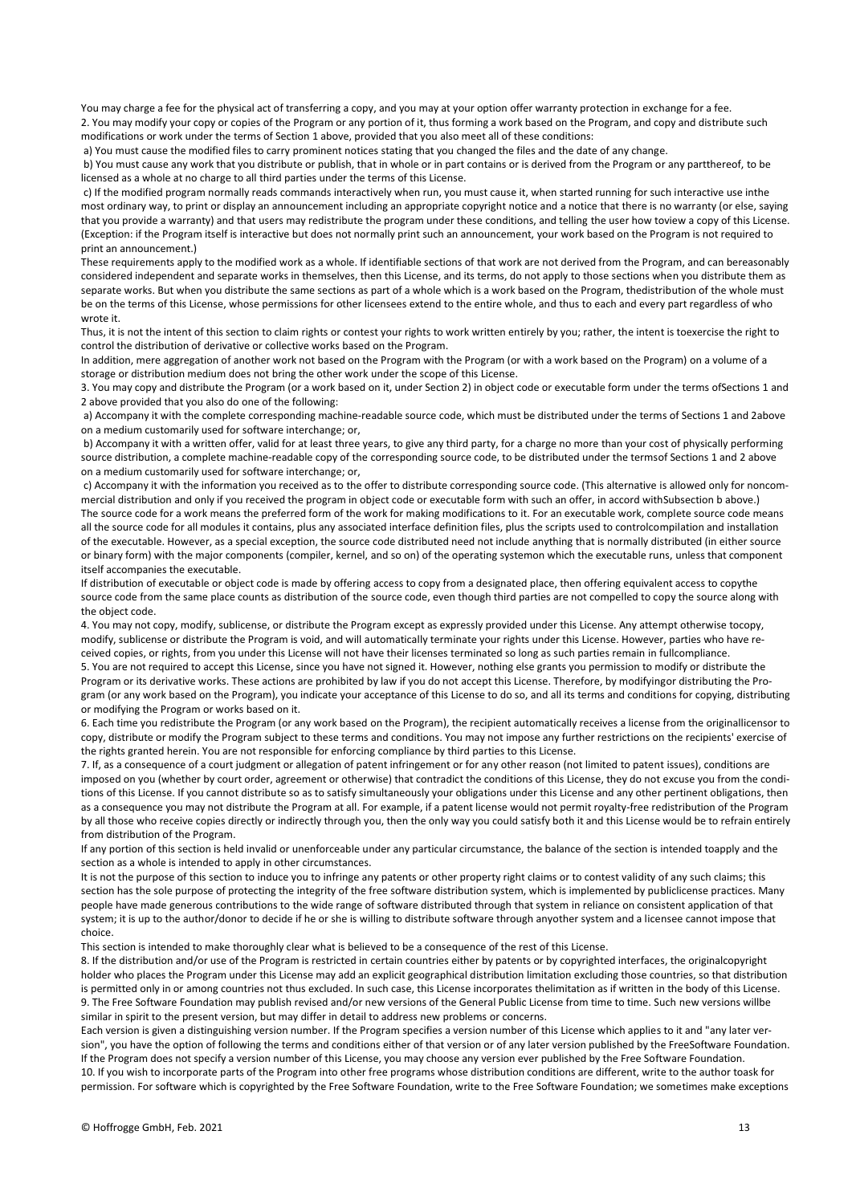You may charge a fee for the physical act of transferring a copy, and you may at your option offer warranty protection in exchange for a fee. 2. You may modify your copy or copies of the Program or any portion of it, thus forming a work based on the Program, and copy and distribute such modifications or work under the terms of Section 1 above, provided that you also meet all of these conditions:

a) You must cause the modified files to carry prominent notices stating that you changed the files and the date of any change.

b) You must cause any work that you distribute or publish, that in whole or in part contains or is derived from the Program or any partthereof, to be licensed as a whole at no charge to all third parties under the terms of this License.

c) If the modified program normally reads commands interactively when run, you must cause it, when started running for such interactive use inthe most ordinary way, to print or display an announcement including an appropriate copyright notice and a notice that there is no warranty (or else, saying that you provide a warranty) and that users may redistribute the program under these conditions, and telling the user how toview a copy of this License. (Exception: if the Program itself is interactive but does not normally print such an announcement, your work based on the Program is not required to print an announcement.)

These requirements apply to the modified work as a whole. If identifiable sections of that work are not derived from the Program, and can bereasonably considered independent and separate works in themselves, then this License, and its terms, do not apply to those sections when you distribute them as separate works. But when you distribute the same sections as part of a whole which is a work based on the Program, thedistribution of the whole must be on the terms of this License, whose permissions for other licensees extend to the entire whole, and thus to each and every part regardless of who wrote it.

Thus, it is not the intent of this section to claim rights or contest your rights to work written entirely by you; rather, the intent is toexercise the right to control the distribution of derivative or collective works based on the Program.

In addition, mere aggregation of another work not based on the Program with the Program (or with a work based on the Program) on a volume of a storage or distribution medium does not bring the other work under the scope of this License.

3. You may copy and distribute the Program (or a work based on it, under Section 2) in object code or executable form under the terms ofSections 1 and 2 above provided that you also do one of the following:

a) Accompany it with the complete corresponding machine-readable source code, which must be distributed under the terms of Sections 1 and 2above on a medium customarily used for software interchange; or,

b) Accompany it with a written offer, valid for at least three years, to give any third party, for a charge no more than your cost of physically performing source distribution, a complete machine-readable copy of the corresponding source code, to be distributed under the termsof Sections 1 and 2 above on a medium customarily used for software interchange; or,

c) Accompany it with the information you received as to the offer to distribute corresponding source code. (This alternative is allowed only for noncommercial distribution and only if you received the program in object code or executable form with such an offer, in accord withSubsection b above.) The source code for a work means the preferred form of the work for making modifications to it. For an executable work, complete source code means all the source code for all modules it contains, plus any associated interface definition files, plus the scripts used to controlcompilation and installation of the executable. However, as a special exception, the source code distributed need not include anything that is normally distributed (in either source or binary form) with the major components (compiler, kernel, and so on) of the operating systemon which the executable runs, unless that component itself accompanies the executable.

If distribution of executable or object code is made by offering access to copy from a designated place, then offering equivalent access to copythe source code from the same place counts as distribution of the source code, even though third parties are not compelled to copy the source along with the object code.

4. You may not copy, modify, sublicense, or distribute the Program except as expressly provided under this License. Any attempt otherwise tocopy, modify, sublicense or distribute the Program is void, and will automatically terminate your rights under this License. However, parties who have received copies, or rights, from you under this License will not have their licenses terminated so long as such parties remain in fullcompliance. 5. You are not required to accept this License, since you have not signed it. However, nothing else grants you permission to modify or distribute the Program or its derivative works. These actions are prohibited by law if you do not accept this License. Therefore, by modifyingor distributing the Program (or any work based on the Program), you indicate your acceptance of this License to do so, and all its terms and conditions for copying, distributing or modifying the Program or works based on it.

6. Each time you redistribute the Program (or any work based on the Program), the recipient automatically receives a license from the originallicensor to copy, distribute or modify the Program subject to these terms and conditions. You may not impose any further restrictions on the recipients' exercise of the rights granted herein. You are not responsible for enforcing compliance by third parties to this License.

7. If, as a consequence of a court judgment or allegation of patent infringement or for any other reason (not limited to patent issues), conditions are imposed on you (whether by court order, agreement or otherwise) that contradict the conditions of this License, they do not excuse you from the conditions of this License. If you cannot distribute so as to satisfy simultaneously your obligations under this License and any other pertinent obligations, then as a consequence you may not distribute the Program at all. For example, if a patent license would not permit royalty-free redistribution of the Program by all those who receive copies directly or indirectly through you, then the only way you could satisfy both it and this License would be to refrain entirely from distribution of the Program.

If any portion of this section is held invalid or unenforceable under any particular circumstance, the balance of the section is intended toapply and the section as a whole is intended to apply in other circumstances.

It is not the purpose of this section to induce you to infringe any patents or other property right claims or to contest validity of any such claims; this section has the sole purpose of protecting the integrity of the free software distribution system, which is implemented by publiclicense practices. Many people have made generous contributions to the wide range of software distributed through that system in reliance on consistent application of that system; it is up to the author/donor to decide if he or she is willing to distribute software through anyother system and a licensee cannot impose that choice.

This section is intended to make thoroughly clear what is believed to be a consequence of the rest of this License.

8. If the distribution and/or use of the Program is restricted in certain countries either by patents or by copyrighted interfaces, the originalcopyright holder who places the Program under this License may add an explicit geographical distribution limitation excluding those countries, so that distribution is permitted only in or among countries not thus excluded. In such case, this License incorporates thelimitation as if written in the body of this License. 9. The Free Software Foundation may publish revised and/or new versions of the General Public License from time to time. Such new versions willbe similar in spirit to the present version, but may differ in detail to address new problems or concerns.

Each version is given a distinguishing version number. If the Program specifies a version number of this License which applies to it and "any later version", you have the option of following the terms and conditions either of that version or of any later version published by the FreeSoftware Foundation. If the Program does not specify a version number of this License, you may choose any version ever published by the Free Software Foundation. 10. If you wish to incorporate parts of the Program into other free programs whose distribution conditions are different, write to the author toask for permission. For software which is copyrighted by the Free Software Foundation, write to the Free Software Foundation; we sometimes make exceptions